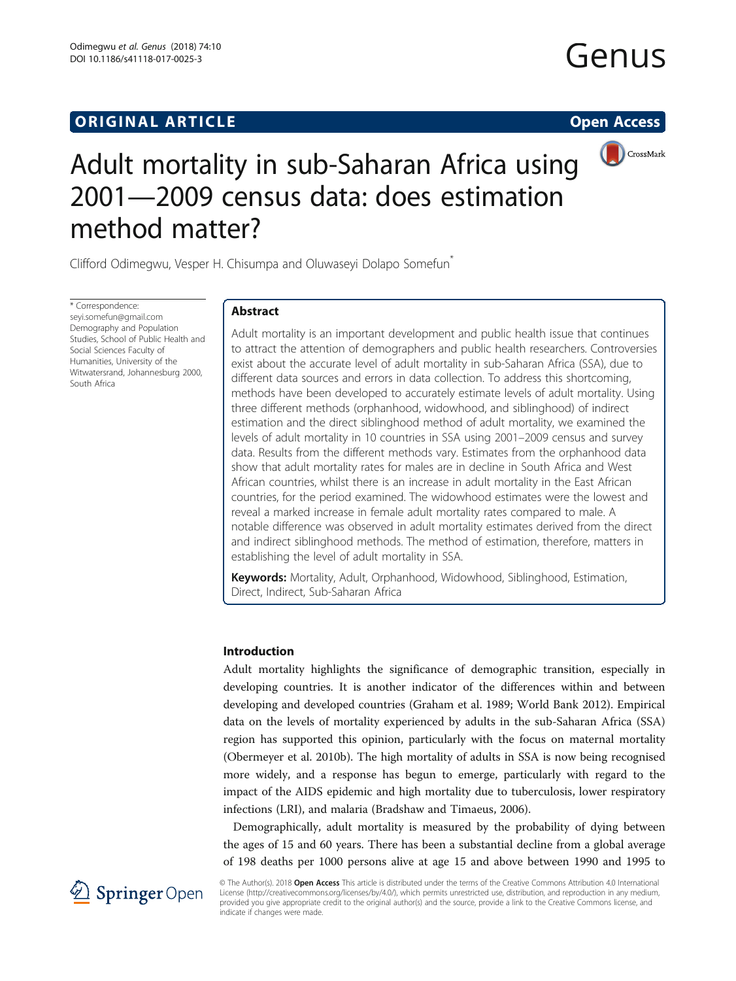### **ORIGINAL ARTICLE CONSUMING A LIGACION** CONSUMING A LIGACION CONSUMING A LIGACION CONSUMING A LIGACION CONSUMING A LIGACION CONSUMING A LIGACION CONSUMING A LIGACION CONSUMING A LIGACION CONSUMING A LIGACION CONSUMING A

# Genus



## Adult mortality in sub-Saharan Africa using 2001—2009 census data: does estimation method matter?

Clifford Odimegwu, Vesper H. Chisumpa and Oluwaseyi Dolapo Somefun\*

\* Correspondence: [seyi.somefun@gmail.com](mailto:seyi.somefun@gmail.com) Demography and Population Studies, School of Public Health and Social Sciences Faculty of Humanities, University of the Witwatersrand, Johannesburg 2000, South Africa

#### Abstract

Adult mortality is an important development and public health issue that continues to attract the attention of demographers and public health researchers. Controversies exist about the accurate level of adult mortality in sub-Saharan Africa (SSA), due to different data sources and errors in data collection. To address this shortcoming, methods have been developed to accurately estimate levels of adult mortality. Using three different methods (orphanhood, widowhood, and siblinghood) of indirect estimation and the direct siblinghood method of adult mortality, we examined the levels of adult mortality in 10 countries in SSA using 2001–2009 census and survey data. Results from the different methods vary. Estimates from the orphanhood data show that adult mortality rates for males are in decline in South Africa and West African countries, whilst there is an increase in adult mortality in the East African countries, for the period examined. The widowhood estimates were the lowest and reveal a marked increase in female adult mortality rates compared to male. A notable difference was observed in adult mortality estimates derived from the direct and indirect siblinghood methods. The method of estimation, therefore, matters in establishing the level of adult mortality in SSA.

Keywords: Mortality, Adult, Orphanhood, Widowhood, Siblinghood, Estimation, Direct, Indirect, Sub-Saharan Africa

#### Introduction

Adult mortality highlights the significance of demographic transition, especially in developing countries. It is another indicator of the differences within and between developing and developed countries (Graham et al. [1989;](#page-23-0) World Bank [2012](#page-24-0)). Empirical data on the levels of mortality experienced by adults in the sub-Saharan Africa (SSA) region has supported this opinion, particularly with the focus on maternal mortality (Obermeyer et al. [2010b\)](#page-24-0). The high mortality of adults in SSA is now being recognised more widely, and a response has begun to emerge, particularly with regard to the impact of the AIDS epidemic and high mortality due to tuberculosis, lower respiratory infections (LRI), and malaria (Bradshaw and Timaeus, [2006](#page-23-0)).

Demographically, adult mortality is measured by the probability of dying between the ages of 15 and 60 years. There has been a substantial decline from a global average of 198 deaths per 1000 persons alive at age 15 and above between 1990 and 1995 to



© The Author(s). 2018 Open Access This article is distributed under the terms of the Creative Commons Attribution 4.0 International License [\(http://creativecommons.org/licenses/by/4.0/](http://creativecommons.org/licenses/by/4.0/)), which permits unrestricted use, distribution, and reproduction in any medium, provided you give appropriate credit to the original author(s) and the source, provide a link to the Creative Commons license, and indicate if changes were made.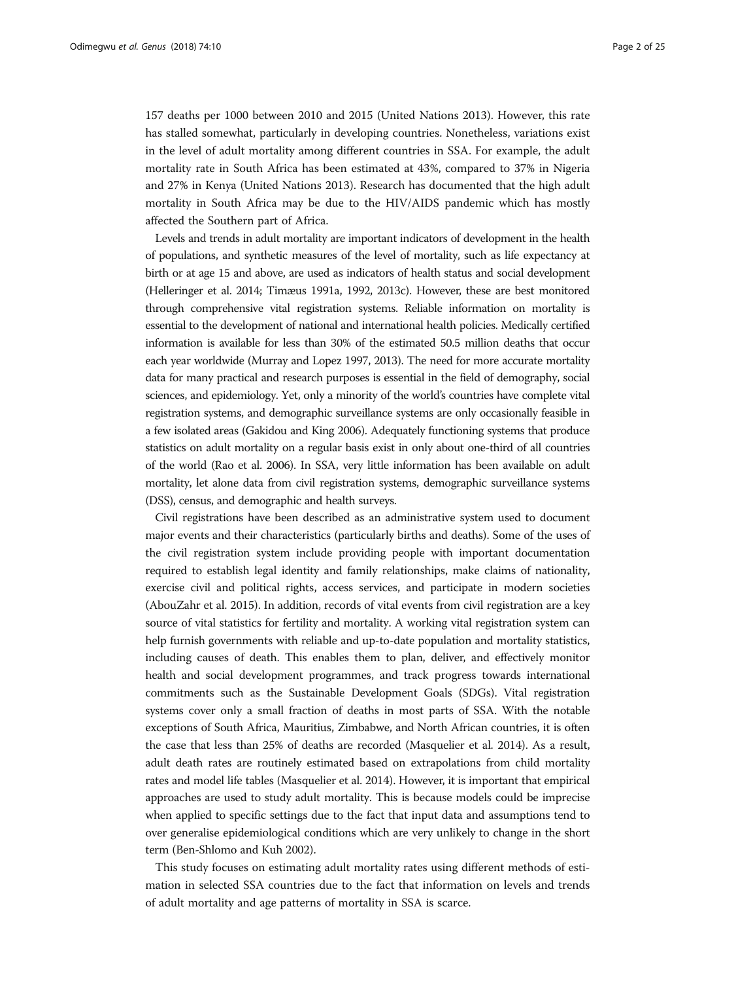157 deaths per 1000 between 2010 and 2015 (United Nations [2013](#page-24-0)). However, this rate has stalled somewhat, particularly in developing countries. Nonetheless, variations exist in the level of adult mortality among different countries in SSA. For example, the adult mortality rate in South Africa has been estimated at 43%, compared to 37% in Nigeria and 27% in Kenya (United Nations [2013](#page-24-0)). Research has documented that the high adult mortality in South Africa may be due to the HIV/AIDS pandemic which has mostly affected the Southern part of Africa.

Levels and trends in adult mortality are important indicators of development in the health of populations, and synthetic measures of the level of mortality, such as life expectancy at birth or at age 15 and above, are used as indicators of health status and social development (Helleringer et al. [2014](#page-23-0); Timæus [1991a, 1992, 2013c](#page-24-0)). However, these are best monitored through comprehensive vital registration systems. Reliable information on mortality is essential to the development of national and international health policies. Medically certified information is available for less than 30% of the estimated 50.5 million deaths that occur each year worldwide (Murray and Lopez [1997](#page-24-0), [2013\)](#page-24-0). The need for more accurate mortality data for many practical and research purposes is essential in the field of demography, social sciences, and epidemiology. Yet, only a minority of the world's countries have complete vital registration systems, and demographic surveillance systems are only occasionally feasible in a few isolated areas (Gakidou and King [2006](#page-23-0)). Adequately functioning systems that produce statistics on adult mortality on a regular basis exist in only about one-third of all countries of the world (Rao et al. [2006\)](#page-24-0). In SSA, very little information has been available on adult mortality, let alone data from civil registration systems, demographic surveillance systems (DSS), census, and demographic and health surveys.

Civil registrations have been described as an administrative system used to document major events and their characteristics (particularly births and deaths). Some of the uses of the civil registration system include providing people with important documentation required to establish legal identity and family relationships, make claims of nationality, exercise civil and political rights, access services, and participate in modern societies (AbouZahr et al. [2015\)](#page-23-0). In addition, records of vital events from civil registration are a key source of vital statistics for fertility and mortality. A working vital registration system can help furnish governments with reliable and up-to-date population and mortality statistics, including causes of death. This enables them to plan, deliver, and effectively monitor health and social development programmes, and track progress towards international commitments such as the Sustainable Development Goals (SDGs). Vital registration systems cover only a small fraction of deaths in most parts of SSA. With the notable exceptions of South Africa, Mauritius, Zimbabwe, and North African countries, it is often the case that less than 25% of deaths are recorded (Masquelier et al. [2014](#page-23-0)). As a result, adult death rates are routinely estimated based on extrapolations from child mortality rates and model life tables (Masquelier et al. [2014](#page-23-0)). However, it is important that empirical approaches are used to study adult mortality. This is because models could be imprecise when applied to specific settings due to the fact that input data and assumptions tend to over generalise epidemiological conditions which are very unlikely to change in the short term (Ben-Shlomo and Kuh [2002\)](#page-23-0).

This study focuses on estimating adult mortality rates using different methods of estimation in selected SSA countries due to the fact that information on levels and trends of adult mortality and age patterns of mortality in SSA is scarce.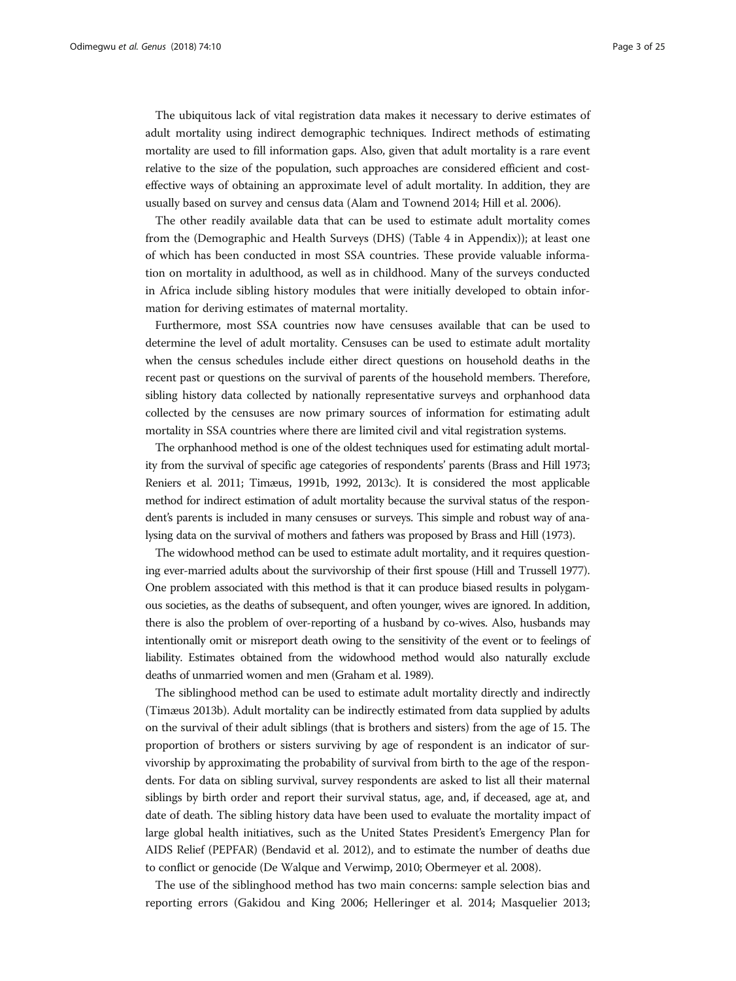The ubiquitous lack of vital registration data makes it necessary to derive estimates of adult mortality using indirect demographic techniques. Indirect methods of estimating mortality are used to fill information gaps. Also, given that adult mortality is a rare event relative to the size of the population, such approaches are considered efficient and costeffective ways of obtaining an approximate level of adult mortality. In addition, they are usually based on survey and census data (Alam and Townend [2014;](#page-23-0) Hill et al. [2006\)](#page-23-0).

The other readily available data that can be used to estimate adult mortality comes from the (Demographic and Health Surveys (DHS) (Table 4 in [Appendix\)](#page-20-0)); at least one of which has been conducted in most SSA countries. These provide valuable information on mortality in adulthood, as well as in childhood. Many of the surveys conducted in Africa include sibling history modules that were initially developed to obtain information for deriving estimates of maternal mortality.

Furthermore, most SSA countries now have censuses available that can be used to determine the level of adult mortality. Censuses can be used to estimate adult mortality when the census schedules include either direct questions on household deaths in the recent past or questions on the survival of parents of the household members. Therefore, sibling history data collected by nationally representative surveys and orphanhood data collected by the censuses are now primary sources of information for estimating adult mortality in SSA countries where there are limited civil and vital registration systems.

The orphanhood method is one of the oldest techniques used for estimating adult mortality from the survival of specific age categories of respondents' parents (Brass and Hill [1973](#page-23-0); Reniers et al. [2011](#page-24-0); Timæus, [1991b](#page-24-0), [1992, 2013c\)](#page-24-0). It is considered the most applicable method for indirect estimation of adult mortality because the survival status of the respondent's parents is included in many censuses or surveys. This simple and robust way of analysing data on the survival of mothers and fathers was proposed by Brass and Hill ([1973\)](#page-23-0).

The widowhood method can be used to estimate adult mortality, and it requires questioning ever-married adults about the survivorship of their first spouse (Hill and Trussell [1977](#page-23-0)). One problem associated with this method is that it can produce biased results in polygamous societies, as the deaths of subsequent, and often younger, wives are ignored. In addition, there is also the problem of over-reporting of a husband by co-wives. Also, husbands may intentionally omit or misreport death owing to the sensitivity of the event or to feelings of liability. Estimates obtained from the widowhood method would also naturally exclude deaths of unmarried women and men (Graham et al. [1989\)](#page-23-0).

The siblinghood method can be used to estimate adult mortality directly and indirectly (Timæus [2013b\)](#page-24-0). Adult mortality can be indirectly estimated from data supplied by adults on the survival of their adult siblings (that is brothers and sisters) from the age of 15. The proportion of brothers or sisters surviving by age of respondent is an indicator of survivorship by approximating the probability of survival from birth to the age of the respondents. For data on sibling survival, survey respondents are asked to list all their maternal siblings by birth order and report their survival status, age, and, if deceased, age at, and date of death. The sibling history data have been used to evaluate the mortality impact of large global health initiatives, such as the United States President's Emergency Plan for AIDS Relief (PEPFAR) (Bendavid et al. [2012](#page-23-0)), and to estimate the number of deaths due to conflict or genocide (De Walque and Verwimp, [2010;](#page-23-0) Obermeyer et al. [2008\)](#page-24-0).

The use of the siblinghood method has two main concerns: sample selection bias and reporting errors (Gakidou and King [2006](#page-23-0); Helleringer et al. [2014;](#page-23-0) Masquelier [2013](#page-23-0);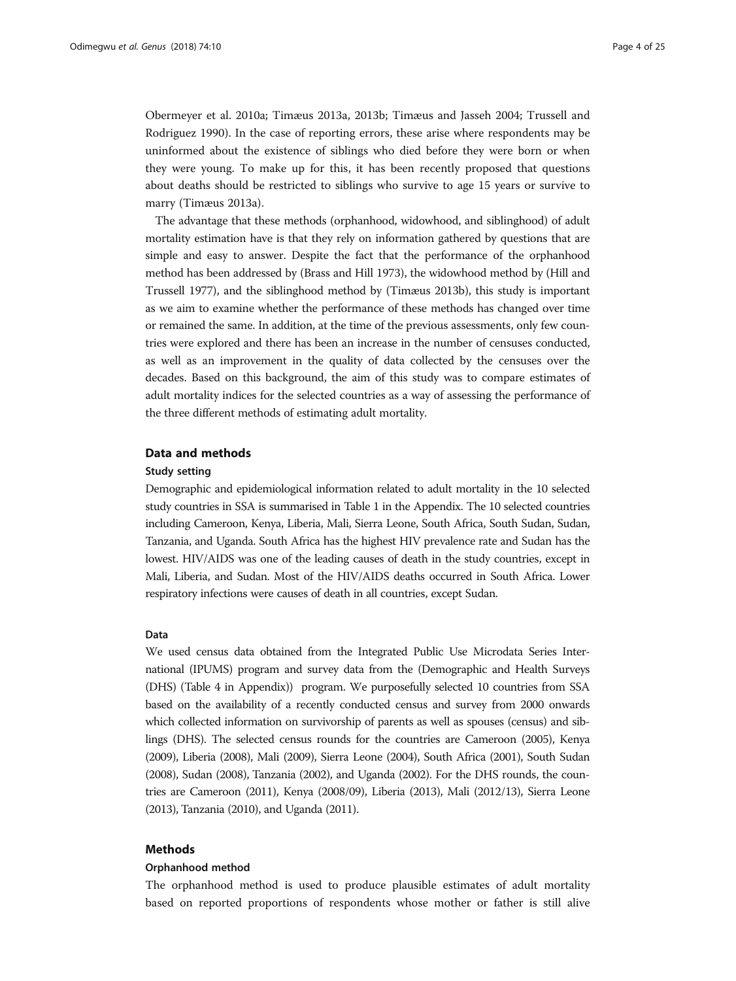Obermeyer et al. [2010a;](#page-24-0) Timæus [2013a](#page-24-0), [2013b;](#page-24-0) Timæus and Jasseh [2004;](#page-24-0) Trussell and Rodriguez [1990\)](#page-24-0). In the case of reporting errors, these arise where respondents may be uninformed about the existence of siblings who died before they were born or when they were young. To make up for this, it has been recently proposed that questions about deaths should be restricted to siblings who survive to age 15 years or survive to marry (Timæus [2013a](#page-24-0)).

The advantage that these methods (orphanhood, widowhood, and siblinghood) of adult mortality estimation have is that they rely on information gathered by questions that are simple and easy to answer. Despite the fact that the performance of the orphanhood method has been addressed by (Brass and Hill [1973](#page-23-0)), the widowhood method by (Hill and Trussell [1977](#page-23-0)), and the siblinghood method by (Timæus [2013b](#page-24-0)), this study is important as we aim to examine whether the performance of these methods has changed over time or remained the same. In addition, at the time of the previous assessments, only few countries were explored and there has been an increase in the number of censuses conducted, as well as an improvement in the quality of data collected by the censuses over the decades. Based on this background, the aim of this study was to compare estimates of adult mortality indices for the selected countries as a way of assessing the performance of the three different methods of estimating adult mortality.

#### Data and methods

#### Study setting

Demographic and epidemiological information related to adult mortality in the 10 selected study countries in SSA is summarised in Table 1 in the Appendix. The 10 selected countries including Cameroon, Kenya, Liberia, Mali, Sierra Leone, South Africa, South Sudan, Sudan, Tanzania, and Uganda. South Africa has the highest HIV prevalence rate and Sudan has the lowest. HIV/AIDS was one of the leading causes of death in the study countries, except in Mali, Liberia, and Sudan. Most of the HIV/AIDS deaths occurred in South Africa. Lower respiratory infections were causes of death in all countries, except Sudan.

#### Data

We used census data obtained from the Integrated Public Use Microdata Series International (IPUMS) program and survey data from the (Demographic and Health Surveys (DHS) (Table 4 in [Appendix](#page-20-0))) program. We purposefully selected 10 countries from SSA based on the availability of a recently conducted census and survey from 2000 onwards which collected information on survivorship of parents as well as spouses (census) and siblings (DHS). The selected census rounds for the countries are Cameroon (2005), Kenya (2009), Liberia (2008), Mali (2009), Sierra Leone (2004), South Africa (2001), South Sudan (2008), Sudan (2008), Tanzania (2002), and Uganda (2002). For the DHS rounds, the countries are Cameroon (2011), Kenya (2008/09), Liberia (2013), Mali (2012/13), Sierra Leone (2013), Tanzania (2010), and Uganda (2011).

#### Methods

#### Orphanhood method

The orphanhood method is used to produce plausible estimates of adult mortality based on reported proportions of respondents whose mother or father is still alive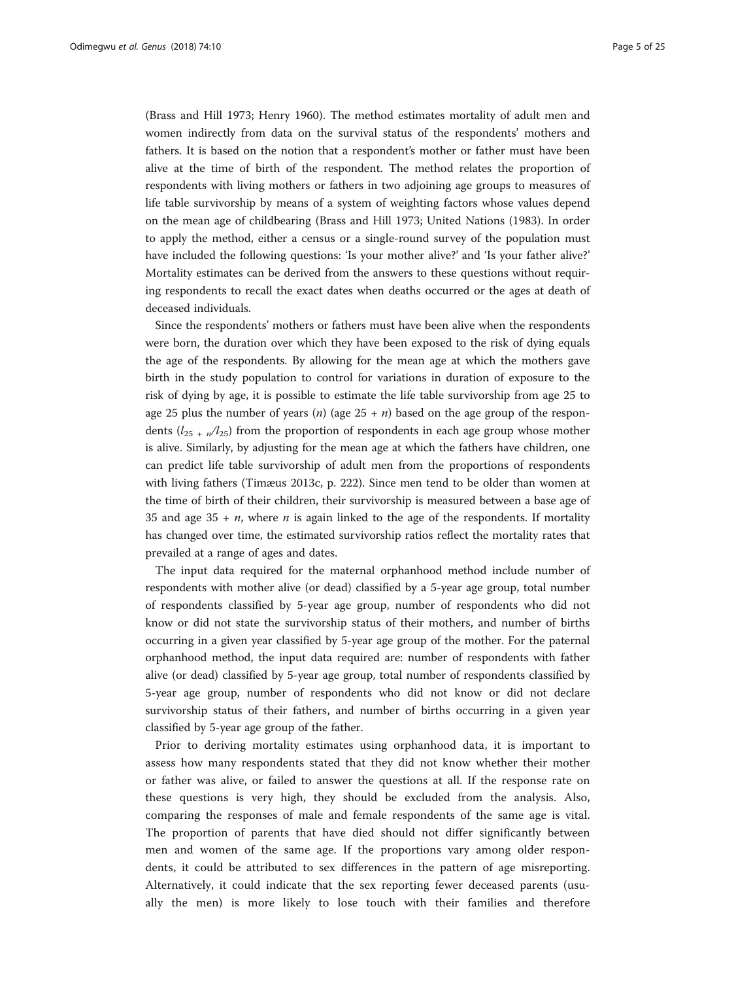(Brass and Hill [1973](#page-23-0); Henry [1960](#page-23-0)). The method estimates mortality of adult men and women indirectly from data on the survival status of the respondents' mothers and fathers. It is based on the notion that a respondent's mother or father must have been alive at the time of birth of the respondent. The method relates the proportion of respondents with living mothers or fathers in two adjoining age groups to measures of life table survivorship by means of a system of weighting factors whose values depend on the mean age of childbearing (Brass and Hill [1973](#page-23-0); United Nations [\(1983\)](#page-24-0). In order to apply the method, either a census or a single-round survey of the population must have included the following questions: 'Is your mother alive?' and 'Is your father alive?' Mortality estimates can be derived from the answers to these questions without requiring respondents to recall the exact dates when deaths occurred or the ages at death of deceased individuals.

Since the respondents' mothers or fathers must have been alive when the respondents were born, the duration over which they have been exposed to the risk of dying equals the age of the respondents. By allowing for the mean age at which the mothers gave birth in the study population to control for variations in duration of exposure to the risk of dying by age, it is possible to estimate the life table survivorship from age 25 to age 25 plus the number of years (*n*) (age  $25 + n$ ) based on the age group of the respondents  $(l_{25} + n/l_{25})$  from the proportion of respondents in each age group whose mother is alive. Similarly, by adjusting for the mean age at which the fathers have children, one can predict life table survivorship of adult men from the proportions of respondents with living fathers (Timæus [2013c](#page-24-0), p. 222). Since men tend to be older than women at the time of birth of their children, their survivorship is measured between a base age of 35 and age  $35 + n$ , where *n* is again linked to the age of the respondents. If mortality has changed over time, the estimated survivorship ratios reflect the mortality rates that prevailed at a range of ages and dates.

The input data required for the maternal orphanhood method include number of respondents with mother alive (or dead) classified by a 5-year age group, total number of respondents classified by 5-year age group, number of respondents who did not know or did not state the survivorship status of their mothers, and number of births occurring in a given year classified by 5-year age group of the mother. For the paternal orphanhood method, the input data required are: number of respondents with father alive (or dead) classified by 5-year age group, total number of respondents classified by 5-year age group, number of respondents who did not know or did not declare survivorship status of their fathers, and number of births occurring in a given year classified by 5-year age group of the father.

Prior to deriving mortality estimates using orphanhood data, it is important to assess how many respondents stated that they did not know whether their mother or father was alive, or failed to answer the questions at all. If the response rate on these questions is very high, they should be excluded from the analysis. Also, comparing the responses of male and female respondents of the same age is vital. The proportion of parents that have died should not differ significantly between men and women of the same age. If the proportions vary among older respondents, it could be attributed to sex differences in the pattern of age misreporting. Alternatively, it could indicate that the sex reporting fewer deceased parents (usually the men) is more likely to lose touch with their families and therefore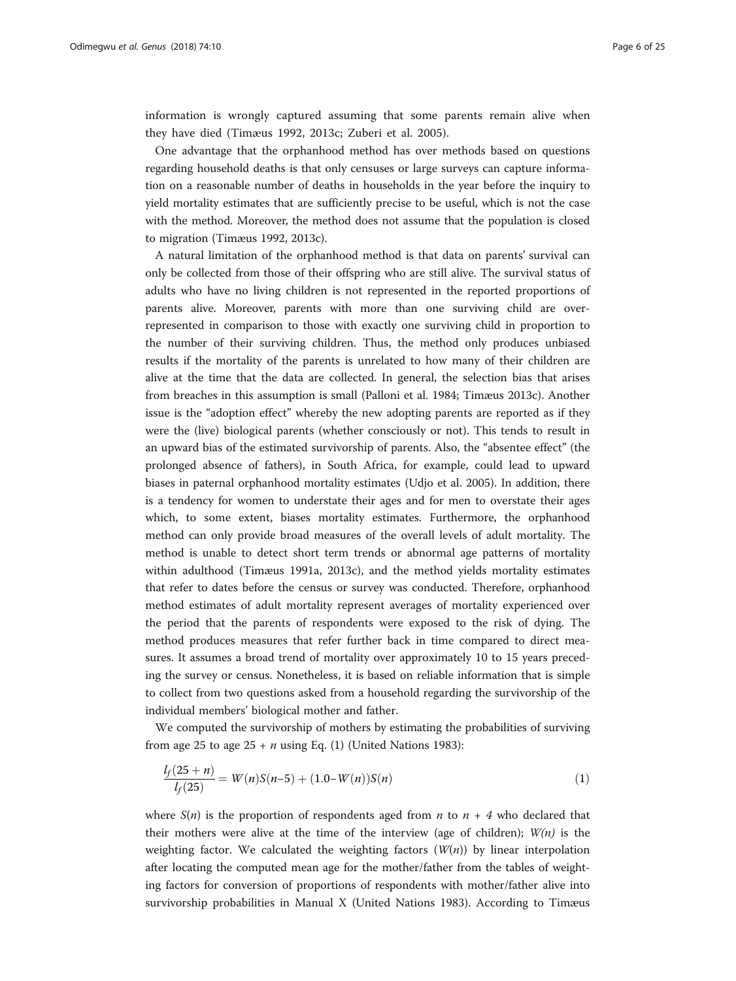<span id="page-5-0"></span>information is wrongly captured assuming that some parents remain alive when they have died (Timæus [1992, 2013c](#page-24-0); Zuberi et al. [2005](#page-24-0)).

One advantage that the orphanhood method has over methods based on questions regarding household deaths is that only censuses or large surveys can capture information on a reasonable number of deaths in households in the year before the inquiry to yield mortality estimates that are sufficiently precise to be useful, which is not the case with the method. Moreover, the method does not assume that the population is closed to migration (Timæus [1992, 2013c\)](#page-24-0).

A natural limitation of the orphanhood method is that data on parents' survival can only be collected from those of their offspring who are still alive. The survival status of adults who have no living children is not represented in the reported proportions of parents alive. Moreover, parents with more than one surviving child are overrepresented in comparison to those with exactly one surviving child in proportion to the number of their surviving children. Thus, the method only produces unbiased results if the mortality of the parents is unrelated to how many of their children are alive at the time that the data are collected. In general, the selection bias that arises from breaches in this assumption is small (Palloni et al. [1984;](#page-24-0) Timæus [2013c](#page-24-0)). Another issue is the "adoption effect" whereby the new adopting parents are reported as if they were the (live) biological parents (whether consciously or not). This tends to result in an upward bias of the estimated survivorship of parents. Also, the "absentee effect" (the prolonged absence of fathers), in South Africa, for example, could lead to upward biases in paternal orphanhood mortality estimates (Udjo et al. [2005\)](#page-24-0). In addition, there is a tendency for women to understate their ages and for men to overstate their ages which, to some extent, biases mortality estimates. Furthermore, the orphanhood method can only provide broad measures of the overall levels of adult mortality. The method is unable to detect short term trends or abnormal age patterns of mortality within adulthood (Timæus [1991a](#page-24-0), [2013c](#page-24-0)), and the method yields mortality estimates that refer to dates before the census or survey was conducted. Therefore, orphanhood method estimates of adult mortality represent averages of mortality experienced over the period that the parents of respondents were exposed to the risk of dying. The method produces measures that refer further back in time compared to direct measures. It assumes a broad trend of mortality over approximately 10 to 15 years preceding the survey or census. Nonetheless, it is based on reliable information that is simple to collect from two questions asked from a household regarding the survivorship of the individual members' biological mother and father.

We computed the survivorship of mothers by estimating the probabilities of surviving from age 25 to age  $25 + n$  using Eq. (1) (United Nations [1983](#page-24-0)):

$$
\frac{l_f(25+n)}{l_f(25)} = W(n)S(n-5) + (1.0-W(n))S(n)
$$
\n(1)

where  $S(n)$  is the proportion of respondents aged from *n* to  $n+4$  who declared that their mothers were alive at the time of the interview (age of children);  $W(n)$  is the weighting factor. We calculated the weighting factors  $(W(n))$  by linear interpolation after locating the computed mean age for the mother/father from the tables of weighting factors for conversion of proportions of respondents with mother/father alive into survivorship probabilities in Manual X (United Nations [1983\)](#page-24-0). According to Timæus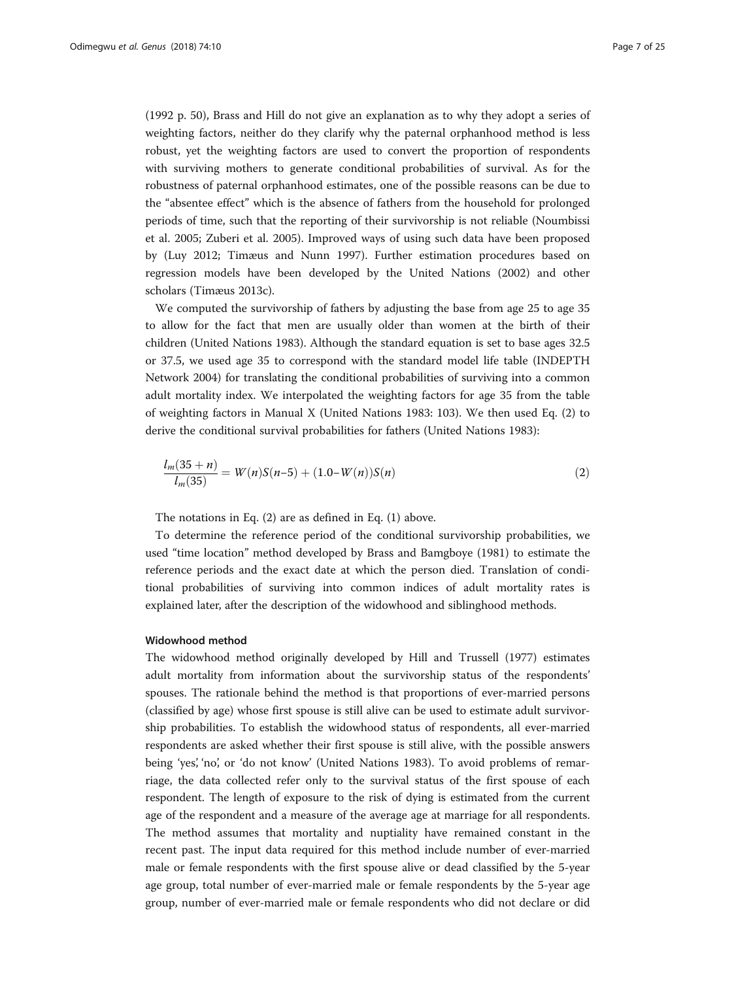([1992](#page-24-0) p. 50), Brass and Hill do not give an explanation as to why they adopt a series of weighting factors, neither do they clarify why the paternal orphanhood method is less robust, yet the weighting factors are used to convert the proportion of respondents with surviving mothers to generate conditional probabilities of survival. As for the robustness of paternal orphanhood estimates, one of the possible reasons can be due to the "absentee effect" which is the absence of fathers from the household for prolonged periods of time, such that the reporting of their survivorship is not reliable (Noumbissi et al. 2005; Zuberi et al. [2005\)](#page-24-0). Improved ways of using such data have been proposed by (Luy 2012; Timæus and Nunn 1997). Further estimation procedures based on regression models have been developed by the United Nations [\(2002\)](#page-24-0) and other scholars (Timæus [2013c\)](#page-24-0).

We computed the survivorship of fathers by adjusting the base from age 25 to age 35 to allow for the fact that men are usually older than women at the birth of their children (United Nations [1983\)](#page-24-0). Although the standard equation is set to base ages 32.5 or 37.5, we used age 35 to correspond with the standard model life table (INDEPTH Network [2004](#page-23-0)) for translating the conditional probabilities of surviving into a common adult mortality index. We interpolated the weighting factors for age 35 from the table of weighting factors in Manual X (United Nations [1983](#page-24-0): 103). We then used Eq. (2) to derive the conditional survival probabilities for fathers (United Nations [1983](#page-24-0)):

$$
\frac{l_m(35+n)}{l_m(35)} = W(n)S(n-5) + (1.0-W(n))S(n)
$$
\n(2)

The notations in Eq. (2) are as defined in Eq. [\(1](#page-5-0)) above.

To determine the reference period of the conditional survivorship probabilities, we used "time location" method developed by Brass and Bamgboye (1981) to estimate the reference periods and the exact date at which the person died. Translation of conditional probabilities of surviving into common indices of adult mortality rates is explained later, after the description of the widowhood and siblinghood methods.

#### Widowhood method

The widowhood method originally developed by Hill and Trussell ([1977\)](#page-23-0) estimates adult mortality from information about the survivorship status of the respondents' spouses. The rationale behind the method is that proportions of ever-married persons (classified by age) whose first spouse is still alive can be used to estimate adult survivorship probabilities. To establish the widowhood status of respondents, all ever-married respondents are asked whether their first spouse is still alive, with the possible answers being 'yes', 'no', or 'do not know' (United Nations [1983](#page-24-0)). To avoid problems of remarriage, the data collected refer only to the survival status of the first spouse of each respondent. The length of exposure to the risk of dying is estimated from the current age of the respondent and a measure of the average age at marriage for all respondents. The method assumes that mortality and nuptiality have remained constant in the recent past. The input data required for this method include number of ever-married male or female respondents with the first spouse alive or dead classified by the 5-year age group, total number of ever-married male or female respondents by the 5-year age group, number of ever-married male or female respondents who did not declare or did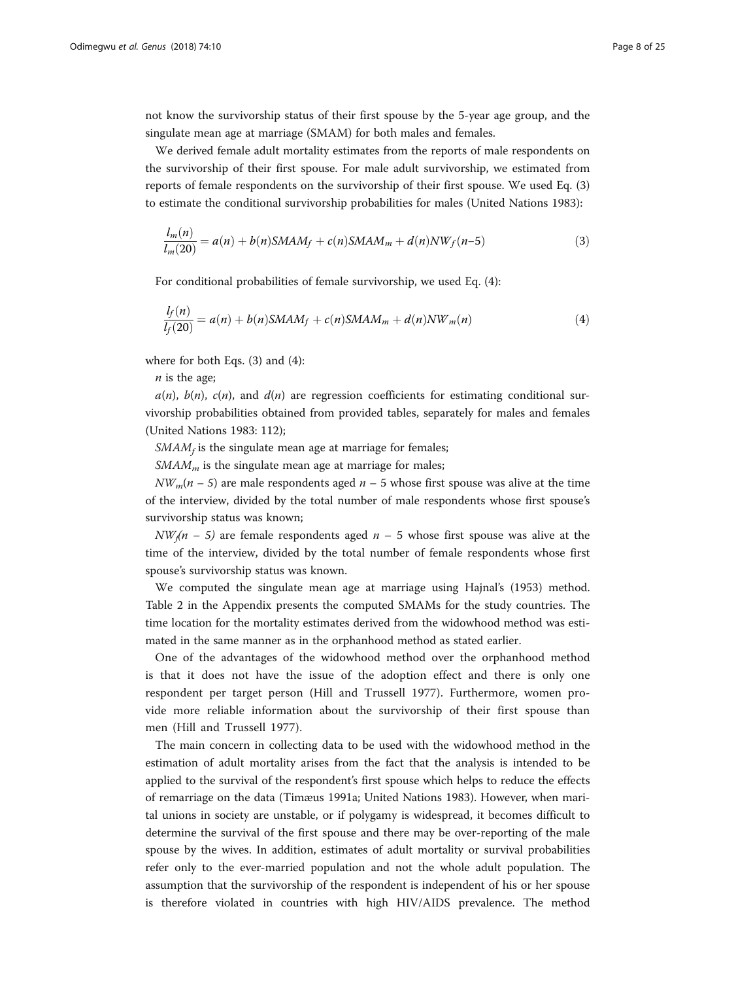not know the survivorship status of their first spouse by the 5-year age group, and the singulate mean age at marriage (SMAM) for both males and females.

We derived female adult mortality estimates from the reports of male respondents on the survivorship of their first spouse. For male adult survivorship, we estimated from reports of female respondents on the survivorship of their first spouse. We used Eq. (3) to estimate the conditional survivorship probabilities for males (United Nations [1983](#page-24-0)):

$$
\frac{l_m(n)}{l_m(20)} = a(n) + b(n)SMAM_f + c(n)SMAM_m + d(n)NW_f(n-5)
$$
\n(3)

For conditional probabilities of female survivorship, we used Eq. (4):

$$
\frac{l_f(n)}{l_f(20)} = a(n) + b(n)SMAM_f + c(n)SMAM_m + d(n)NW_m(n)
$$
\n(4)

where for both Eqs. (3) and (4):

 $n$  is the age;

 $a(n)$ ,  $b(n)$ ,  $c(n)$ , and  $d(n)$  are regression coefficients for estimating conditional survivorship probabilities obtained from provided tables, separately for males and females (United Nations [1983](#page-24-0): 112);

 $SMAM<sub>f</sub>$  is the singulate mean age at marriage for females;

 $SMAM<sub>m</sub>$  is the singulate mean age at marriage for males;

 $NW_m(n - 5)$  are male respondents aged  $n - 5$  whose first spouse was alive at the time of the interview, divided by the total number of male respondents whose first spouse's survivorship status was known;

 $NW(n - 5)$  are female respondents aged  $n - 5$  whose first spouse was alive at the time of the interview, divided by the total number of female respondents whose first spouse's survivorship status was known.

We computed the singulate mean age at marriage using Hajnal's (1953) method. Table 2 in the Appendix presents the computed SMAMs for the study countries. The time location for the mortality estimates derived from the widowhood method was estimated in the same manner as in the orphanhood method as stated earlier.

One of the advantages of the widowhood method over the orphanhood method is that it does not have the issue of the adoption effect and there is only one respondent per target person (Hill and Trussell [1977](#page-23-0)). Furthermore, women provide more reliable information about the survivorship of their first spouse than men (Hill and Trussell [1977](#page-23-0)).

The main concern in collecting data to be used with the widowhood method in the estimation of adult mortality arises from the fact that the analysis is intended to be applied to the survival of the respondent's first spouse which helps to reduce the effects of remarriage on the data (Timæus [1991a;](#page-24-0) United Nations [1983\)](#page-24-0). However, when marital unions in society are unstable, or if polygamy is widespread, it becomes difficult to determine the survival of the first spouse and there may be over-reporting of the male spouse by the wives. In addition, estimates of adult mortality or survival probabilities refer only to the ever-married population and not the whole adult population. The assumption that the survivorship of the respondent is independent of his or her spouse is therefore violated in countries with high HIV/AIDS prevalence. The method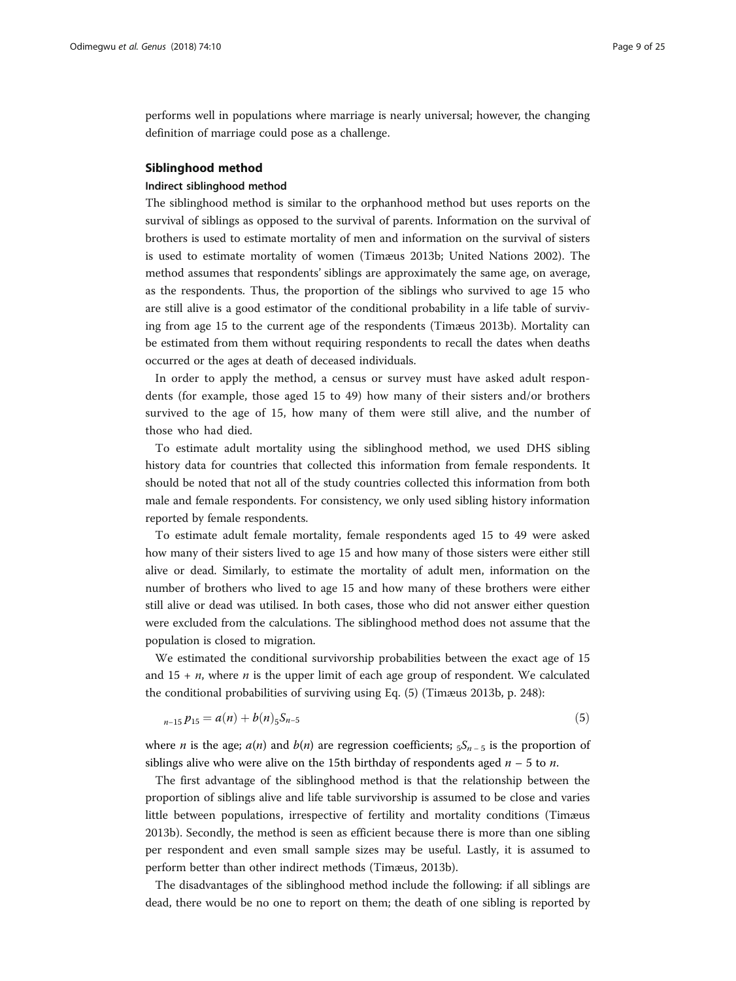performs well in populations where marriage is nearly universal; however, the changing definition of marriage could pose as a challenge.

#### Siblinghood method

#### Indirect siblinghood method

The siblinghood method is similar to the orphanhood method but uses reports on the survival of siblings as opposed to the survival of parents. Information on the survival of brothers is used to estimate mortality of men and information on the survival of sisters is used to estimate mortality of women (Timæus [2013b;](#page-24-0) United Nations [2002\)](#page-24-0). The method assumes that respondents' siblings are approximately the same age, on average, as the respondents. Thus, the proportion of the siblings who survived to age 15 who are still alive is a good estimator of the conditional probability in a life table of surviving from age 15 to the current age of the respondents (Timæus [2013b\)](#page-24-0). Mortality can be estimated from them without requiring respondents to recall the dates when deaths occurred or the ages at death of deceased individuals.

In order to apply the method, a census or survey must have asked adult respondents (for example, those aged 15 to 49) how many of their sisters and/or brothers survived to the age of 15, how many of them were still alive, and the number of those who had died.

To estimate adult mortality using the siblinghood method, we used DHS sibling history data for countries that collected this information from female respondents. It should be noted that not all of the study countries collected this information from both male and female respondents. For consistency, we only used sibling history information reported by female respondents.

To estimate adult female mortality, female respondents aged 15 to 49 were asked how many of their sisters lived to age 15 and how many of those sisters were either still alive or dead. Similarly, to estimate the mortality of adult men, information on the number of brothers who lived to age 15 and how many of these brothers were either still alive or dead was utilised. In both cases, those who did not answer either question were excluded from the calculations. The siblinghood method does not assume that the population is closed to migration.

We estimated the conditional survivorship probabilities between the exact age of 15 and  $15 + n$ , where *n* is the upper limit of each age group of respondent. We calculated the conditional probabilities of surviving using Eq. (5) (Timæus [2013b,](#page-24-0) p. 248):

$$
_{n-15}p_{15}=a(n)+b(n)_{5}S_{n-5}
$$
\n(5)

where *n* is the age;  $a(n)$  and  $b(n)$  are regression coefficients;  $5S_{n-5}$  is the proportion of siblings alive who were alive on the 15th birthday of respondents aged  $n - 5$  to n.

The first advantage of the siblinghood method is that the relationship between the proportion of siblings alive and life table survivorship is assumed to be close and varies little between populations, irrespective of fertility and mortality conditions (Timæus [2013b](#page-24-0)). Secondly, the method is seen as efficient because there is more than one sibling per respondent and even small sample sizes may be useful. Lastly, it is assumed to perform better than other indirect methods (Timæus, [2013b\)](#page-24-0).

The disadvantages of the siblinghood method include the following: if all siblings are dead, there would be no one to report on them; the death of one sibling is reported by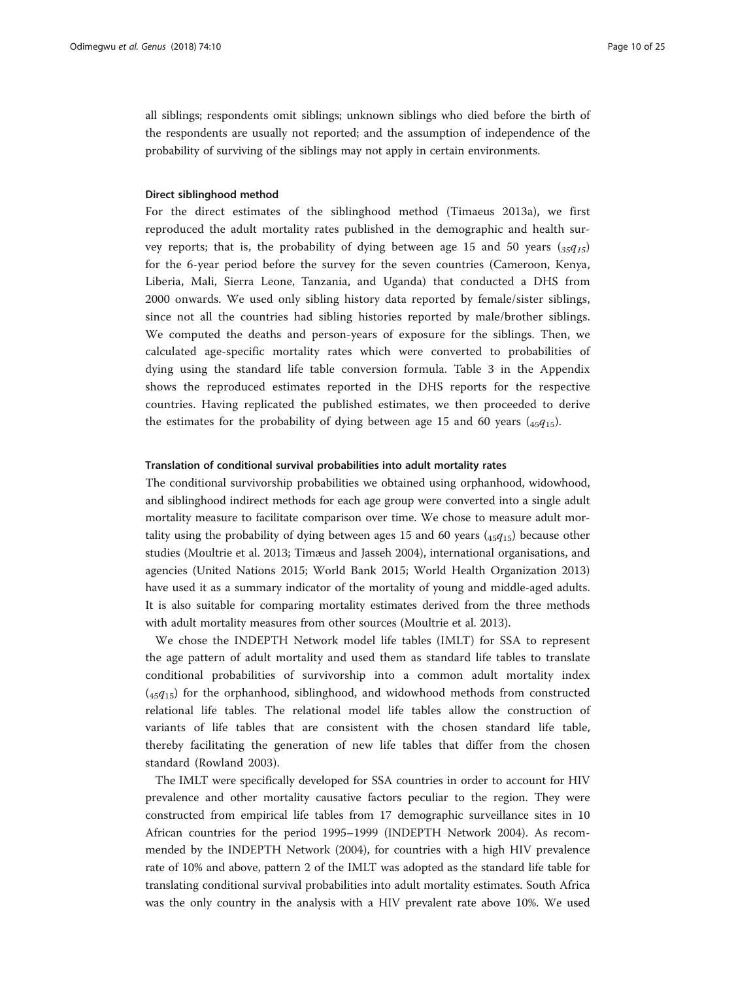all siblings; respondents omit siblings; unknown siblings who died before the birth of the respondents are usually not reported; and the assumption of independence of the probability of surviving of the siblings may not apply in certain environments.

#### Direct siblinghood method

For the direct estimates of the siblinghood method (Timaeus [2013a](#page-24-0)), we first reproduced the adult mortality rates published in the demographic and health survey reports; that is, the probability of dying between age 15 and 50 years  $\left( \frac{35q}{15} \right)$ for the 6-year period before the survey for the seven countries (Cameroon, Kenya, Liberia, Mali, Sierra Leone, Tanzania, and Uganda) that conducted a DHS from 2000 onwards. We used only sibling history data reported by female/sister siblings, since not all the countries had sibling histories reported by male/brother siblings. We computed the deaths and person-years of exposure for the siblings. Then, we calculated age-specific mortality rates which were converted to probabilities of dying using the standard life table conversion formula. Table 3 in the Appendix shows the reproduced estimates reported in the DHS reports for the respective countries. Having replicated the published estimates, we then proceeded to derive the estimates for the probability of dying between age 15 and 60 years  $(_{45}q_{15})$ .

#### Translation of conditional survival probabilities into adult mortality rates

The conditional survivorship probabilities we obtained using orphanhood, widowhood, and siblinghood indirect methods for each age group were converted into a single adult mortality measure to facilitate comparison over time. We chose to measure adult mortality using the probability of dying between ages 15 and 60 years  $(45q_{15})$  because other studies (Moultrie et al. [2013](#page-24-0); Timæus and Jasseh [2004\)](#page-24-0), international organisations, and agencies (United Nations [2015;](#page-24-0) World Bank [2015](#page-24-0); World Health Organization [2013](#page-24-0)) have used it as a summary indicator of the mortality of young and middle-aged adults. It is also suitable for comparing mortality estimates derived from the three methods with adult mortality measures from other sources (Moultrie et al. [2013](#page-24-0)).

We chose the INDEPTH Network model life tables (IMLT) for SSA to represent the age pattern of adult mortality and used them as standard life tables to translate conditional probabilities of survivorship into a common adult mortality index  $(45q_{15})$  for the orphanhood, siblinghood, and widowhood methods from constructed relational life tables. The relational model life tables allow the construction of variants of life tables that are consistent with the chosen standard life table, thereby facilitating the generation of new life tables that differ from the chosen standard (Rowland [2003\)](#page-24-0).

The IMLT were specifically developed for SSA countries in order to account for HIV prevalence and other mortality causative factors peculiar to the region. They were constructed from empirical life tables from 17 demographic surveillance sites in 10 African countries for the period 1995–1999 (INDEPTH Network [2004](#page-23-0)). As recommended by the INDEPTH Network [\(2004](#page-23-0)), for countries with a high HIV prevalence rate of 10% and above, pattern 2 of the IMLT was adopted as the standard life table for translating conditional survival probabilities into adult mortality estimates. South Africa was the only country in the analysis with a HIV prevalent rate above 10%. We used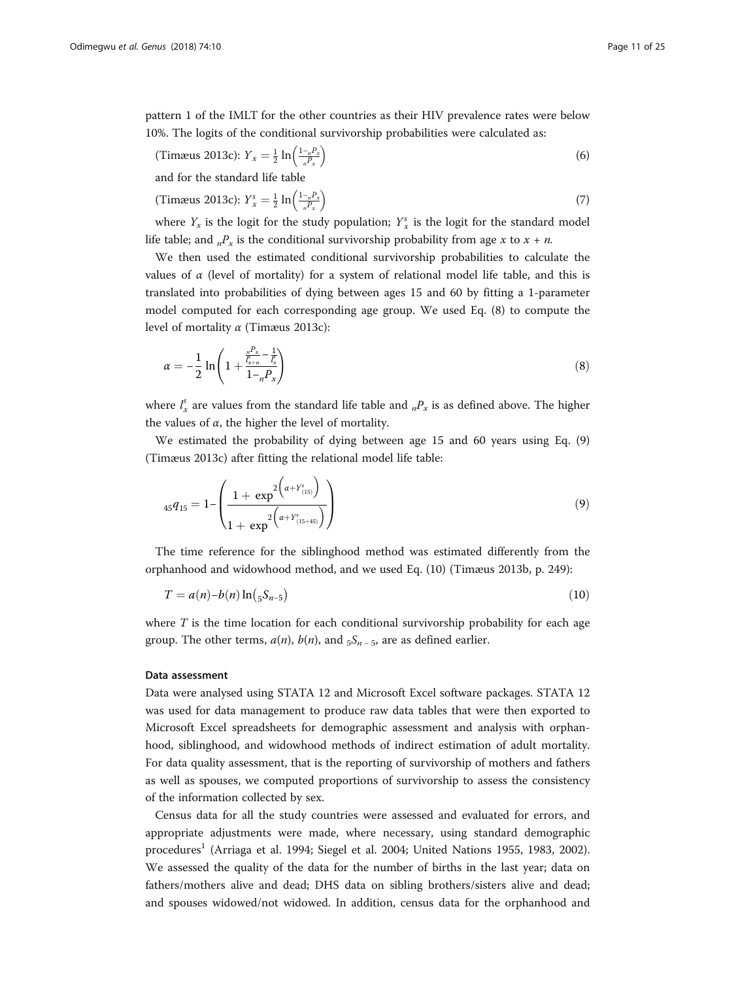pattern 1 of the IMLT for the other countries as their HIV prevalence rates were below 10%. The logits of the conditional survivorship probabilities were calculated as:

(7imæus 2013c): 
$$
Y_x = \frac{1}{2} \ln \left( \frac{1 - R_x}{R_x} \right)
$$
 (6)

and for the standard life table

(7) (7) 
$$
\text{(3)} \quad \text{(4)} \quad \text{(5)} \quad \text{(6)} \quad \text{(7)}
$$

where  $Y_x$  is the logit for the study population;  $Y_x^s$  is the logit for the standard model life table; and  $n_x P_x$  is the conditional survivorship probability from age x to  $x + n$ .

We then used the estimated conditional survivorship probabilities to calculate the values of  $\alpha$  (level of mortality) for a system of relational model life table, and this is translated into probabilities of dying between ages 15 and 60 by fitting a 1-parameter model computed for each corresponding age group. We used Eq. (8) to compute the level of mortality  $\alpha$  (Timæus [2013c\)](#page-24-0):

$$
\alpha = -\frac{1}{2} \ln \left( 1 + \frac{\frac{n^2 x}{l_{x+n}} - \frac{1}{l_x}}{1 - n^2 x} \right) \tag{8}
$$

where  $l_x^s$  are values from the standard life table and  $_nP_x$  is as defined above. The higher the values of  $\alpha$ , the higher the level of mortality.

We estimated the probability of dying between age 15 and 60 years using Eq. (9) (Timæus [2013c](#page-24-0)) after fitting the relational model life table:

$$
_{45}q_{15} = 1 - \left( \frac{1 + \exp^{2\left(\alpha + Y^{s}_{(15)}\right)}}{1 + \exp^{2\left(\alpha + Y^{s}_{(15+45)}\right)}} \right) \tag{9}
$$

The time reference for the siblinghood method was estimated differently from the orphanhood and widowhood method, and we used Eq. (10) (Timæus [2013b](#page-24-0), p. 249):

$$
T = a(n) - b(n) \ln (5S_{n-5})
$$
\n(10)

where  $T$  is the time location for each conditional survivorship probability for each age group. The other terms,  $a(n)$ ,  $b(n)$ , and  $5S_{n-5}$ , are as defined earlier.

#### Data assessment

Data were analysed using STATA 12 and Microsoft Excel software packages. STATA 12 was used for data management to produce raw data tables that were then exported to Microsoft Excel spreadsheets for demographic assessment and analysis with orphanhood, siblinghood, and widowhood methods of indirect estimation of adult mortality. For data quality assessment, that is the reporting of survivorship of mothers and fathers as well as spouses, we computed proportions of survivorship to assess the consistency of the information collected by sex.

Census data for all the study countries were assessed and evaluated for errors, and appropriate adjustments were made, where necessary, using standard demographic procedures<sup>1</sup> (Arriaga et al. [1994](#page-23-0); Siegel et al. [2004](#page-24-0); United Nations [1955](#page-24-0), [1983, 2002](#page-24-0)). We assessed the quality of the data for the number of births in the last year; data on fathers/mothers alive and dead; DHS data on sibling brothers/sisters alive and dead; and spouses widowed/not widowed. In addition, census data for the orphanhood and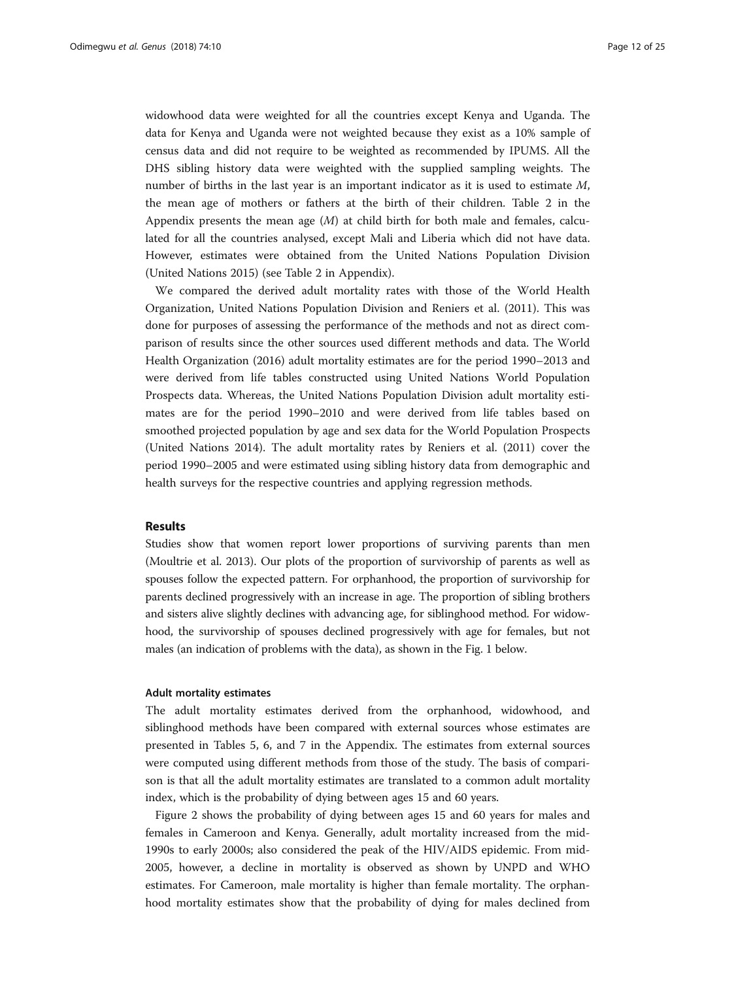widowhood data were weighted for all the countries except Kenya and Uganda. The data for Kenya and Uganda were not weighted because they exist as a 10% sample of census data and did not require to be weighted as recommended by IPUMS. All the DHS sibling history data were weighted with the supplied sampling weights. The number of births in the last year is an important indicator as it is used to estimate M, the mean age of mothers or fathers at the birth of their children. Table 2 in the Appendix presents the mean age  $(M)$  at child birth for both male and females, calculated for all the countries analysed, except Mali and Liberia which did not have data. However, estimates were obtained from the United Nations Population Division (United Nations [2015](#page-24-0)) (see Table 2 in Appendix).

We compared the derived adult mortality rates with those of the World Health Organization, United Nations Population Division and Reniers et al. ([2011](#page-24-0)). This was done for purposes of assessing the performance of the methods and not as direct comparison of results since the other sources used different methods and data. The World Health Organization ([2016\)](#page-24-0) adult mortality estimates are for the period 1990–2013 and were derived from life tables constructed using United Nations World Population Prospects data. Whereas, the United Nations Population Division adult mortality estimates are for the period 1990–2010 and were derived from life tables based on smoothed projected population by age and sex data for the World Population Prospects (United Nations [2014\)](#page-24-0). The adult mortality rates by Reniers et al. [\(2011](#page-24-0)) cover the period 1990–2005 and were estimated using sibling history data from demographic and health surveys for the respective countries and applying regression methods.

#### Results

Studies show that women report lower proportions of surviving parents than men (Moultrie et al. [2013](#page-24-0)). Our plots of the proportion of survivorship of parents as well as spouses follow the expected pattern. For orphanhood, the proportion of survivorship for parents declined progressively with an increase in age. The proportion of sibling brothers and sisters alive slightly declines with advancing age, for siblinghood method. For widowhood, the survivorship of spouses declined progressively with age for females, but not males (an indication of problems with the data), as shown in the Fig. [1](#page-12-0) below.

#### Adult mortality estimates

The adult mortality estimates derived from the orphanhood, widowhood, and siblinghood methods have been compared with external sources whose estimates are presented in Tables 5, 6, and 7 in the Appendix. The estimates from external sources were computed using different methods from those of the study. The basis of comparison is that all the adult mortality estimates are translated to a common adult mortality index, which is the probability of dying between ages 15 and 60 years.

Figure [2](#page-12-0) shows the probability of dying between ages 15 and 60 years for males and females in Cameroon and Kenya. Generally, adult mortality increased from the mid-1990s to early 2000s; also considered the peak of the HIV/AIDS epidemic. From mid-2005, however, a decline in mortality is observed as shown by UNPD and WHO estimates. For Cameroon, male mortality is higher than female mortality. The orphanhood mortality estimates show that the probability of dying for males declined from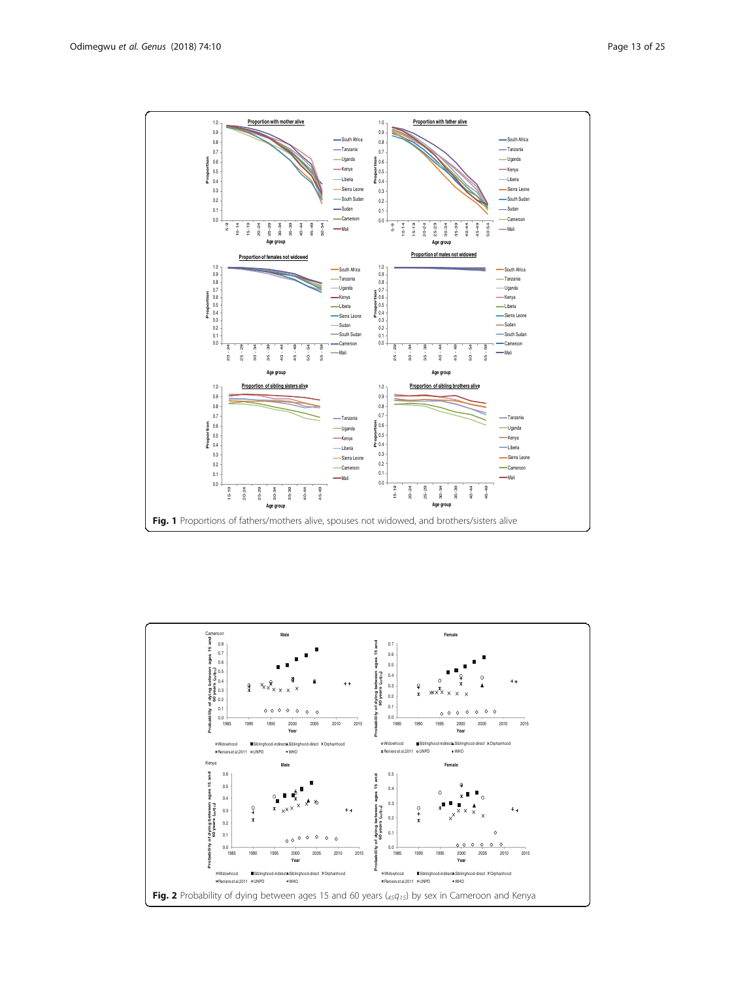<span id="page-12-0"></span>

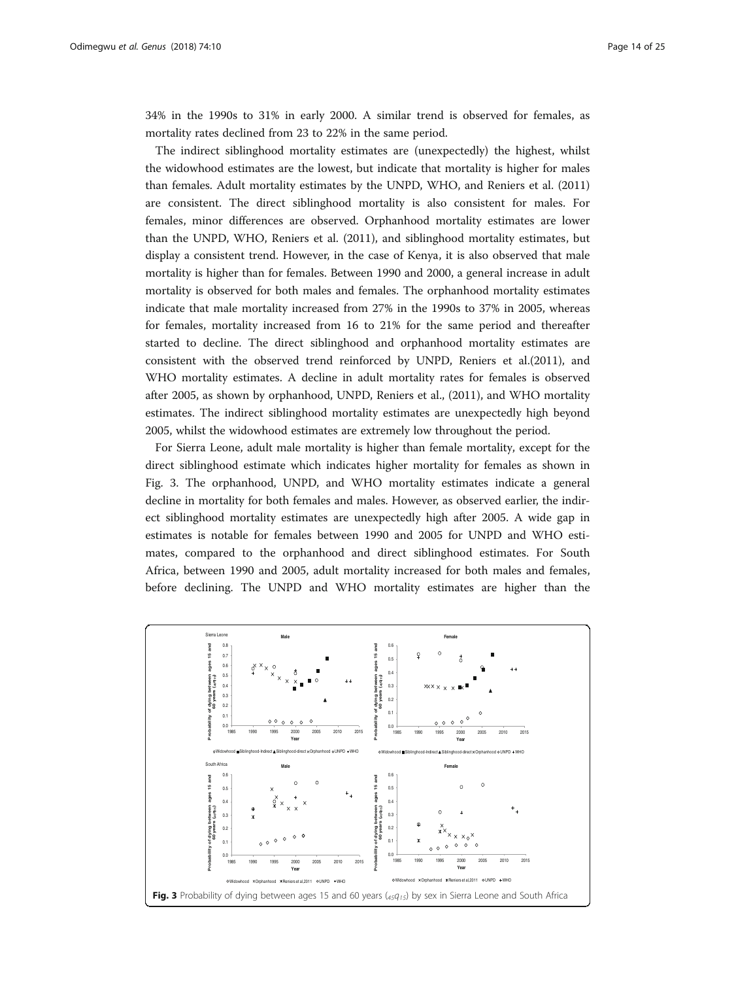34% in the 1990s to 31% in early 2000. A similar trend is observed for females, as mortality rates declined from 23 to 22% in the same period.

The indirect siblinghood mortality estimates are (unexpectedly) the highest, whilst the widowhood estimates are the lowest, but indicate that mortality is higher for males than females. Adult mortality estimates by the UNPD, WHO, and Reniers et al. ([2011](#page-24-0)) are consistent. The direct siblinghood mortality is also consistent for males. For females, minor differences are observed. Orphanhood mortality estimates are lower than the UNPD, WHO, Reniers et al. ([2011\)](#page-24-0), and siblinghood mortality estimates, but display a consistent trend. However, in the case of Kenya, it is also observed that male mortality is higher than for females. Between 1990 and 2000, a general increase in adult mortality is observed for both males and females. The orphanhood mortality estimates indicate that male mortality increased from 27% in the 1990s to 37% in 2005, whereas for females, mortality increased from 16 to 21% for the same period and thereafter started to decline. The direct siblinghood and orphanhood mortality estimates are consistent with the observed trend reinforced by UNPD, Reniers et al.[\(2011\)](#page-24-0), and WHO mortality estimates. A decline in adult mortality rates for females is observed after 2005, as shown by orphanhood, UNPD, Reniers et al., [\(2011\)](#page-24-0), and WHO mortality estimates. The indirect siblinghood mortality estimates are unexpectedly high beyond 2005, whilst the widowhood estimates are extremely low throughout the period.

For Sierra Leone, adult male mortality is higher than female mortality, except for the direct siblinghood estimate which indicates higher mortality for females as shown in Fig. 3. The orphanhood, UNPD, and WHO mortality estimates indicate a general decline in mortality for both females and males. However, as observed earlier, the indirect siblinghood mortality estimates are unexpectedly high after 2005. A wide gap in estimates is notable for females between 1990 and 2005 for UNPD and WHO estimates, compared to the orphanhood and direct siblinghood estimates. For South Africa, between 1990 and 2005, adult mortality increased for both males and females, before declining. The UNPD and WHO mortality estimates are higher than the

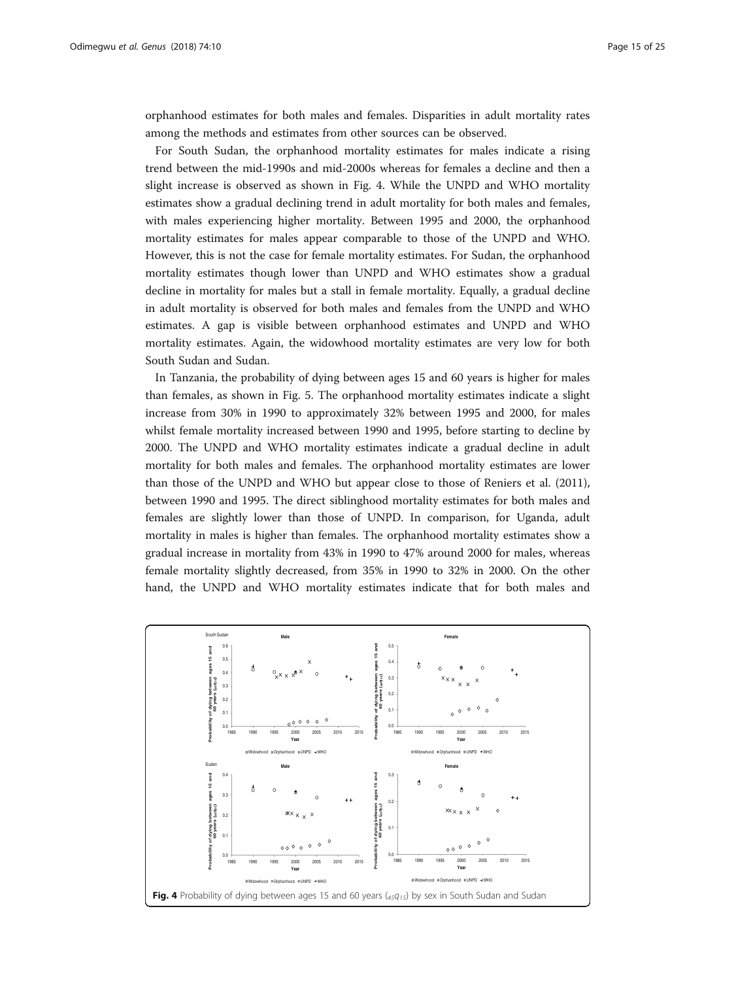orphanhood estimates for both males and females. Disparities in adult mortality rates among the methods and estimates from other sources can be observed.

For South Sudan, the orphanhood mortality estimates for males indicate a rising trend between the mid-1990s and mid-2000s whereas for females a decline and then a slight increase is observed as shown in Fig. 4. While the UNPD and WHO mortality estimates show a gradual declining trend in adult mortality for both males and females, with males experiencing higher mortality. Between 1995 and 2000, the orphanhood mortality estimates for males appear comparable to those of the UNPD and WHO. However, this is not the case for female mortality estimates. For Sudan, the orphanhood mortality estimates though lower than UNPD and WHO estimates show a gradual decline in mortality for males but a stall in female mortality. Equally, a gradual decline in adult mortality is observed for both males and females from the UNPD and WHO estimates. A gap is visible between orphanhood estimates and UNPD and WHO mortality estimates. Again, the widowhood mortality estimates are very low for both South Sudan and Sudan.

In Tanzania, the probability of dying between ages 15 and 60 years is higher for males than females, as shown in Fig. [5.](#page-15-0) The orphanhood mortality estimates indicate a slight increase from 30% in 1990 to approximately 32% between 1995 and 2000, for males whilst female mortality increased between 1990 and 1995, before starting to decline by 2000. The UNPD and WHO mortality estimates indicate a gradual decline in adult mortality for both males and females. The orphanhood mortality estimates are lower than those of the UNPD and WHO but appear close to those of Reniers et al. ([2011](#page-24-0)), between 1990 and 1995. The direct siblinghood mortality estimates for both males and females are slightly lower than those of UNPD. In comparison, for Uganda, adult mortality in males is higher than females. The orphanhood mortality estimates show a gradual increase in mortality from 43% in 1990 to 47% around 2000 for males, whereas female mortality slightly decreased, from 35% in 1990 to 32% in 2000. On the other hand, the UNPD and WHO mortality estimates indicate that for both males and

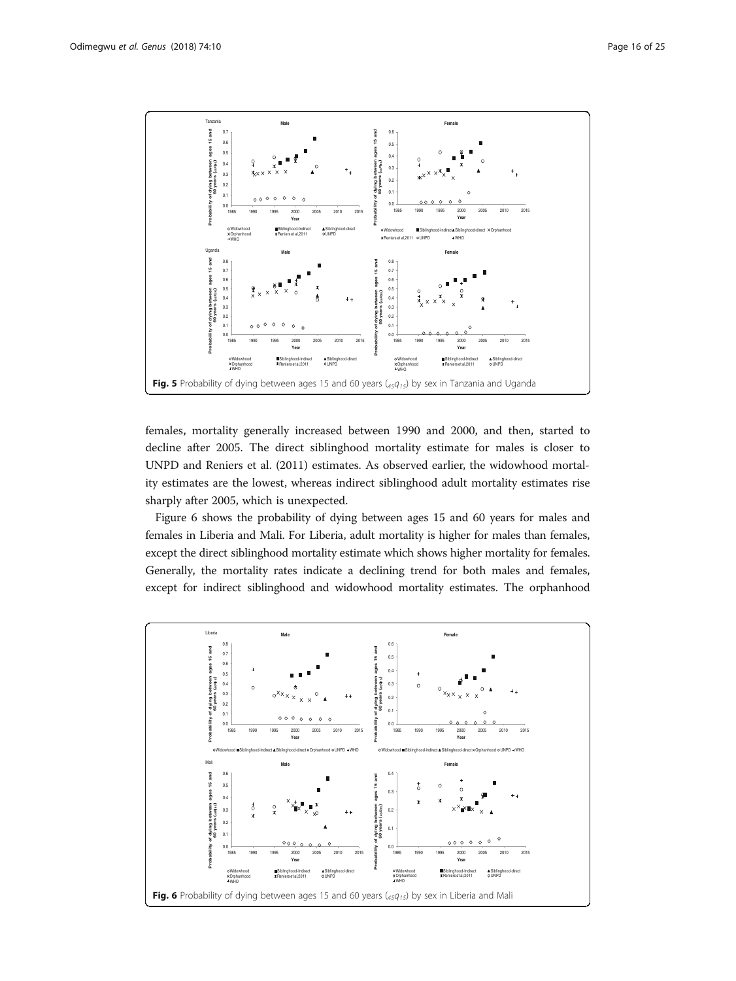<span id="page-15-0"></span>

females, mortality generally increased between 1990 and 2000, and then, started to decline after 2005. The direct siblinghood mortality estimate for males is closer to UNPD and Reniers et al. [\(2011](#page-24-0)) estimates. As observed earlier, the widowhood mortality estimates are the lowest, whereas indirect siblinghood adult mortality estimates rise sharply after 2005, which is unexpected.

Figure 6 shows the probability of dying between ages 15 and 60 years for males and females in Liberia and Mali. For Liberia, adult mortality is higher for males than females, except the direct siblinghood mortality estimate which shows higher mortality for females. Generally, the mortality rates indicate a declining trend for both males and females, except for indirect siblinghood and widowhood mortality estimates. The orphanhood

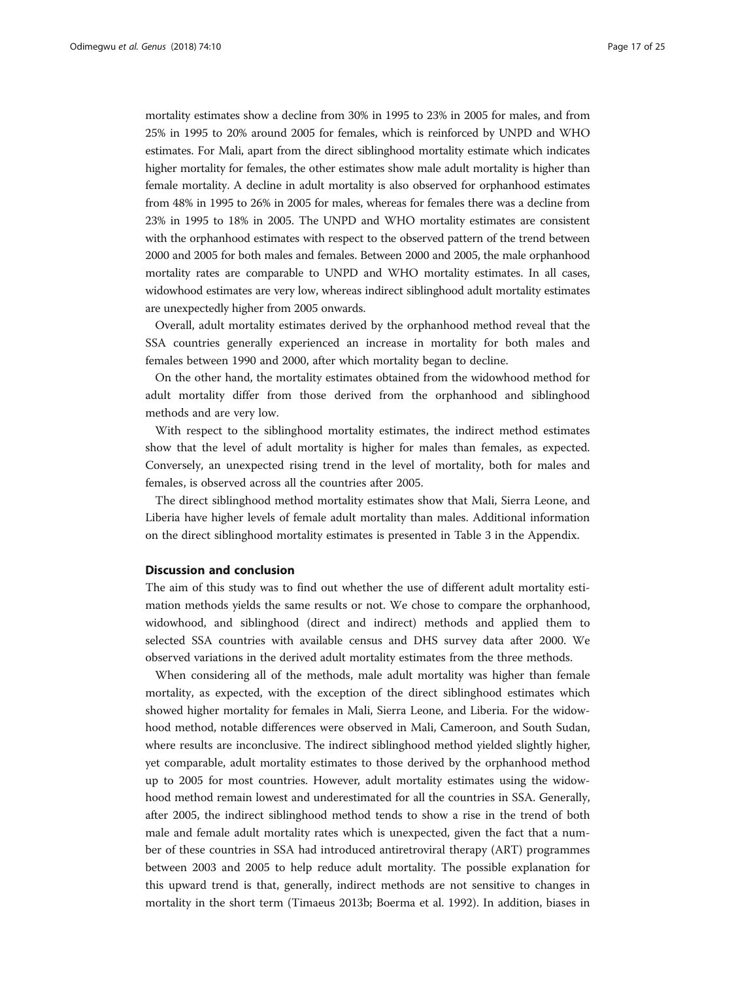mortality estimates show a decline from 30% in 1995 to 23% in 2005 for males, and from 25% in 1995 to 20% around 2005 for females, which is reinforced by UNPD and WHO estimates. For Mali, apart from the direct siblinghood mortality estimate which indicates higher mortality for females, the other estimates show male adult mortality is higher than female mortality. A decline in adult mortality is also observed for orphanhood estimates from 48% in 1995 to 26% in 2005 for males, whereas for females there was a decline from 23% in 1995 to 18% in 2005. The UNPD and WHO mortality estimates are consistent with the orphanhood estimates with respect to the observed pattern of the trend between 2000 and 2005 for both males and females. Between 2000 and 2005, the male orphanhood mortality rates are comparable to UNPD and WHO mortality estimates. In all cases, widowhood estimates are very low, whereas indirect siblinghood adult mortality estimates are unexpectedly higher from 2005 onwards.

Overall, adult mortality estimates derived by the orphanhood method reveal that the SSA countries generally experienced an increase in mortality for both males and females between 1990 and 2000, after which mortality began to decline.

On the other hand, the mortality estimates obtained from the widowhood method for adult mortality differ from those derived from the orphanhood and siblinghood methods and are very low.

With respect to the siblinghood mortality estimates, the indirect method estimates show that the level of adult mortality is higher for males than females, as expected. Conversely, an unexpected rising trend in the level of mortality, both for males and females, is observed across all the countries after 2005.

The direct siblinghood method mortality estimates show that Mali, Sierra Leone, and Liberia have higher levels of female adult mortality than males. Additional information on the direct siblinghood mortality estimates is presented in Table 3 in the Appendix.

#### Discussion and conclusion

The aim of this study was to find out whether the use of different adult mortality estimation methods yields the same results or not. We chose to compare the orphanhood, widowhood, and siblinghood (direct and indirect) methods and applied them to selected SSA countries with available census and DHS survey data after 2000. We observed variations in the derived adult mortality estimates from the three methods.

When considering all of the methods, male adult mortality was higher than female mortality, as expected, with the exception of the direct siblinghood estimates which showed higher mortality for females in Mali, Sierra Leone, and Liberia. For the widowhood method, notable differences were observed in Mali, Cameroon, and South Sudan, where results are inconclusive. The indirect siblinghood method yielded slightly higher, yet comparable, adult mortality estimates to those derived by the orphanhood method up to 2005 for most countries. However, adult mortality estimates using the widowhood method remain lowest and underestimated for all the countries in SSA. Generally, after 2005, the indirect siblinghood method tends to show a rise in the trend of both male and female adult mortality rates which is unexpected, given the fact that a number of these countries in SSA had introduced antiretroviral therapy (ART) programmes between 2003 and 2005 to help reduce adult mortality. The possible explanation for this upward trend is that, generally, indirect methods are not sensitive to changes in mortality in the short term (Timaeus [2013b](#page-24-0); Boerma et al. 1992). In addition, biases in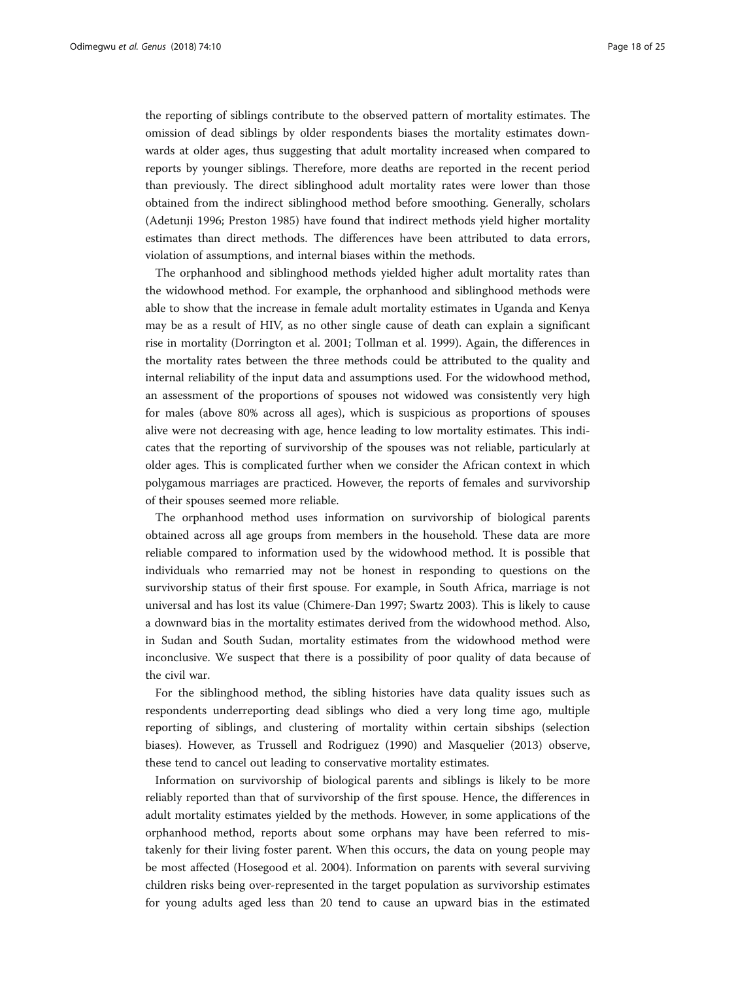the reporting of siblings contribute to the observed pattern of mortality estimates. The omission of dead siblings by older respondents biases the mortality estimates downwards at older ages, thus suggesting that adult mortality increased when compared to reports by younger siblings. Therefore, more deaths are reported in the recent period than previously. The direct siblinghood adult mortality rates were lower than those obtained from the indirect siblinghood method before smoothing. Generally, scholars (Adetunji 1996; Preston 1985) have found that indirect methods yield higher mortality estimates than direct methods. The differences have been attributed to data errors, violation of assumptions, and internal biases within the methods.

The orphanhood and siblinghood methods yielded higher adult mortality rates than the widowhood method. For example, the orphanhood and siblinghood methods were able to show that the increase in female adult mortality estimates in Uganda and Kenya may be as a result of HIV, as no other single cause of death can explain a significant rise in mortality (Dorrington et al. [2001](#page-23-0); Tollman et al. [1999](#page-24-0)). Again, the differences in the mortality rates between the three methods could be attributed to the quality and internal reliability of the input data and assumptions used. For the widowhood method, an assessment of the proportions of spouses not widowed was consistently very high for males (above 80% across all ages), which is suspicious as proportions of spouses alive were not decreasing with age, hence leading to low mortality estimates. This indicates that the reporting of survivorship of the spouses was not reliable, particularly at older ages. This is complicated further when we consider the African context in which polygamous marriages are practiced. However, the reports of females and survivorship of their spouses seemed more reliable.

The orphanhood method uses information on survivorship of biological parents obtained across all age groups from members in the household. These data are more reliable compared to information used by the widowhood method. It is possible that individuals who remarried may not be honest in responding to questions on the survivorship status of their first spouse. For example, in South Africa, marriage is not universal and has lost its value (Chimere-Dan [1997;](#page-23-0) Swartz [2003\)](#page-24-0). This is likely to cause a downward bias in the mortality estimates derived from the widowhood method. Also, in Sudan and South Sudan, mortality estimates from the widowhood method were inconclusive. We suspect that there is a possibility of poor quality of data because of the civil war.

For the siblinghood method, the sibling histories have data quality issues such as respondents underreporting dead siblings who died a very long time ago, multiple reporting of siblings, and clustering of mortality within certain sibships (selection biases). However, as Trussell and Rodriguez [\(1990\)](#page-24-0) and Masquelier [\(2013\)](#page-23-0) observe, these tend to cancel out leading to conservative mortality estimates.

Information on survivorship of biological parents and siblings is likely to be more reliably reported than that of survivorship of the first spouse. Hence, the differences in adult mortality estimates yielded by the methods. However, in some applications of the orphanhood method, reports about some orphans may have been referred to mistakenly for their living foster parent. When this occurs, the data on young people may be most affected (Hosegood et al. [2004\)](#page-23-0). Information on parents with several surviving children risks being over-represented in the target population as survivorship estimates for young adults aged less than 20 tend to cause an upward bias in the estimated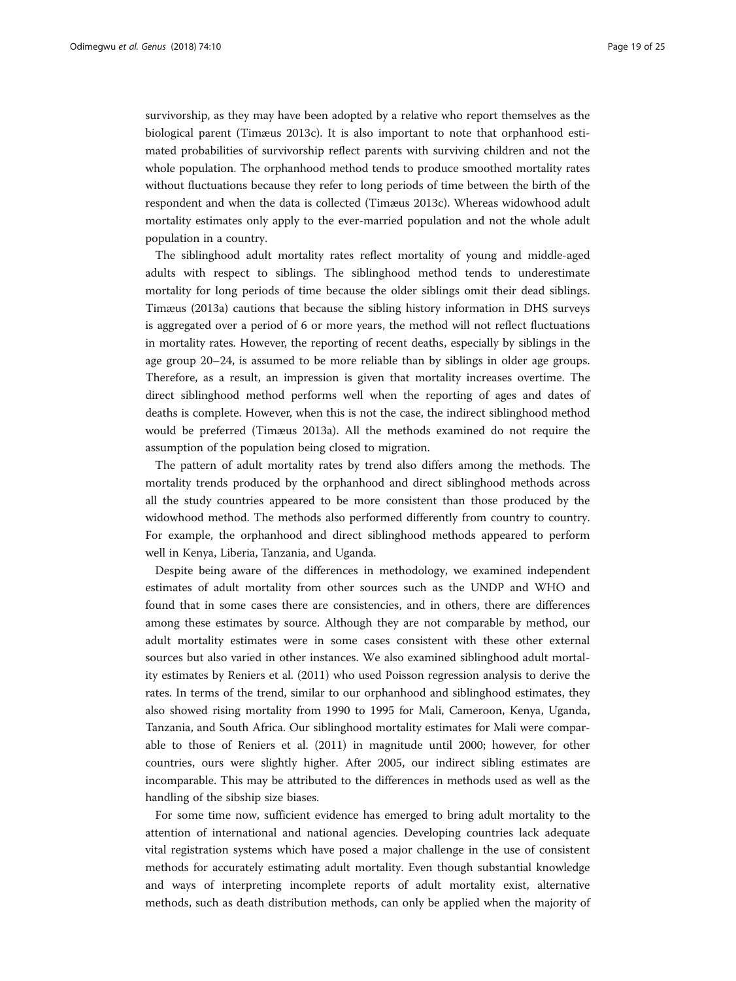survivorship, as they may have been adopted by a relative who report themselves as the biological parent (Timæus [2013c\)](#page-24-0). It is also important to note that orphanhood estimated probabilities of survivorship reflect parents with surviving children and not the whole population. The orphanhood method tends to produce smoothed mortality rates without fluctuations because they refer to long periods of time between the birth of the respondent and when the data is collected (Timæus [2013c\)](#page-24-0). Whereas widowhood adult mortality estimates only apply to the ever-married population and not the whole adult population in a country.

The siblinghood adult mortality rates reflect mortality of young and middle-aged adults with respect to siblings. The siblinghood method tends to underestimate mortality for long periods of time because the older siblings omit their dead siblings. Timæus ([2013a\)](#page-24-0) cautions that because the sibling history information in DHS surveys is aggregated over a period of 6 or more years, the method will not reflect fluctuations in mortality rates. However, the reporting of recent deaths, especially by siblings in the age group 20–24, is assumed to be more reliable than by siblings in older age groups. Therefore, as a result, an impression is given that mortality increases overtime. The direct siblinghood method performs well when the reporting of ages and dates of deaths is complete. However, when this is not the case, the indirect siblinghood method would be preferred (Timæus [2013a](#page-24-0)). All the methods examined do not require the assumption of the population being closed to migration.

The pattern of adult mortality rates by trend also differs among the methods. The mortality trends produced by the orphanhood and direct siblinghood methods across all the study countries appeared to be more consistent than those produced by the widowhood method. The methods also performed differently from country to country. For example, the orphanhood and direct siblinghood methods appeared to perform well in Kenya, Liberia, Tanzania, and Uganda.

Despite being aware of the differences in methodology, we examined independent estimates of adult mortality from other sources such as the UNDP and WHO and found that in some cases there are consistencies, and in others, there are differences among these estimates by source. Although they are not comparable by method, our adult mortality estimates were in some cases consistent with these other external sources but also varied in other instances. We also examined siblinghood adult mortality estimates by Reniers et al. ([2011\)](#page-24-0) who used Poisson regression analysis to derive the rates. In terms of the trend, similar to our orphanhood and siblinghood estimates, they also showed rising mortality from 1990 to 1995 for Mali, Cameroon, Kenya, Uganda, Tanzania, and South Africa. Our siblinghood mortality estimates for Mali were comparable to those of Reniers et al. ([2011\)](#page-24-0) in magnitude until 2000; however, for other countries, ours were slightly higher. After 2005, our indirect sibling estimates are incomparable. This may be attributed to the differences in methods used as well as the handling of the sibship size biases.

For some time now, sufficient evidence has emerged to bring adult mortality to the attention of international and national agencies. Developing countries lack adequate vital registration systems which have posed a major challenge in the use of consistent methods for accurately estimating adult mortality. Even though substantial knowledge and ways of interpreting incomplete reports of adult mortality exist, alternative methods, such as death distribution methods, can only be applied when the majority of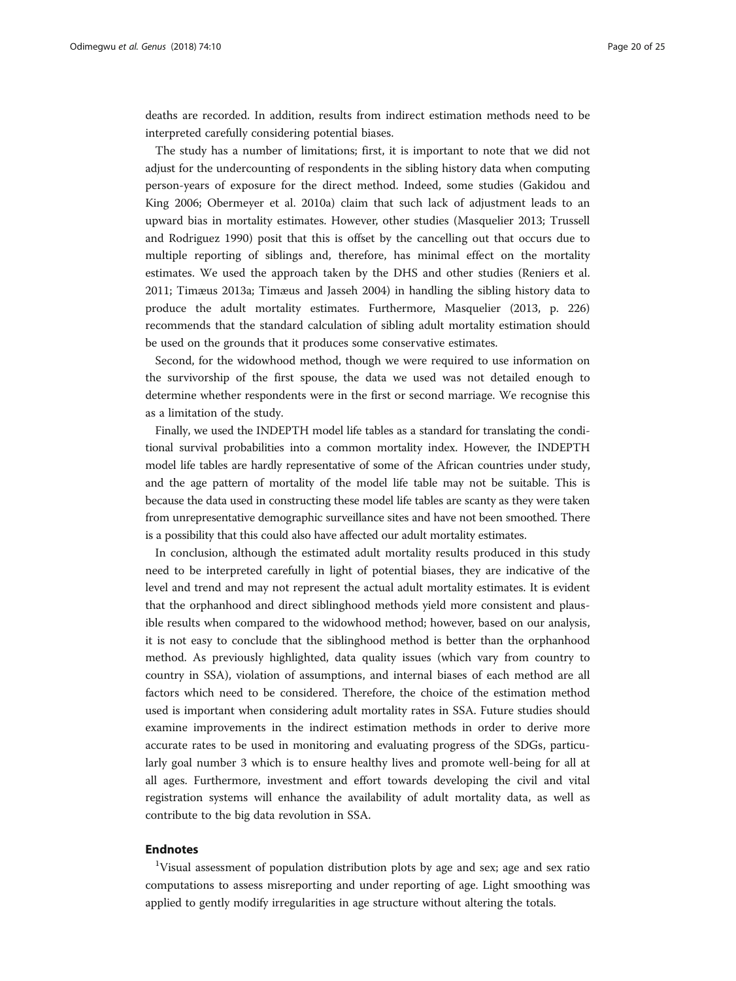deaths are recorded. In addition, results from indirect estimation methods need to be interpreted carefully considering potential biases.

The study has a number of limitations; first, it is important to note that we did not adjust for the undercounting of respondents in the sibling history data when computing person-years of exposure for the direct method. Indeed, some studies (Gakidou and King [2006](#page-23-0); Obermeyer et al. [2010a](#page-24-0)) claim that such lack of adjustment leads to an upward bias in mortality estimates. However, other studies (Masquelier [2013](#page-23-0); Trussell and Rodriguez [1990](#page-24-0)) posit that this is offset by the cancelling out that occurs due to multiple reporting of siblings and, therefore, has minimal effect on the mortality estimates. We used the approach taken by the DHS and other studies (Reniers et al. [2011](#page-24-0); Timæus [2013a;](#page-24-0) Timæus and Jasseh [2004\)](#page-24-0) in handling the sibling history data to produce the adult mortality estimates. Furthermore, Masquelier ([2013,](#page-23-0) p. 226) recommends that the standard calculation of sibling adult mortality estimation should be used on the grounds that it produces some conservative estimates.

Second, for the widowhood method, though we were required to use information on the survivorship of the first spouse, the data we used was not detailed enough to determine whether respondents were in the first or second marriage. We recognise this as a limitation of the study.

Finally, we used the INDEPTH model life tables as a standard for translating the conditional survival probabilities into a common mortality index. However, the INDEPTH model life tables are hardly representative of some of the African countries under study, and the age pattern of mortality of the model life table may not be suitable. This is because the data used in constructing these model life tables are scanty as they were taken from unrepresentative demographic surveillance sites and have not been smoothed. There is a possibility that this could also have affected our adult mortality estimates.

In conclusion, although the estimated adult mortality results produced in this study need to be interpreted carefully in light of potential biases, they are indicative of the level and trend and may not represent the actual adult mortality estimates. It is evident that the orphanhood and direct siblinghood methods yield more consistent and plausible results when compared to the widowhood method; however, based on our analysis, it is not easy to conclude that the siblinghood method is better than the orphanhood method. As previously highlighted, data quality issues (which vary from country to country in SSA), violation of assumptions, and internal biases of each method are all factors which need to be considered. Therefore, the choice of the estimation method used is important when considering adult mortality rates in SSA. Future studies should examine improvements in the indirect estimation methods in order to derive more accurate rates to be used in monitoring and evaluating progress of the SDGs, particularly goal number 3 which is to ensure healthy lives and promote well-being for all at all ages. Furthermore, investment and effort towards developing the civil and vital registration systems will enhance the availability of adult mortality data, as well as contribute to the big data revolution in SSA.

#### Endnotes

<sup>1</sup>Visual assessment of population distribution plots by age and sex; age and sex ratio computations to assess misreporting and under reporting of age. Light smoothing was applied to gently modify irregularities in age structure without altering the totals.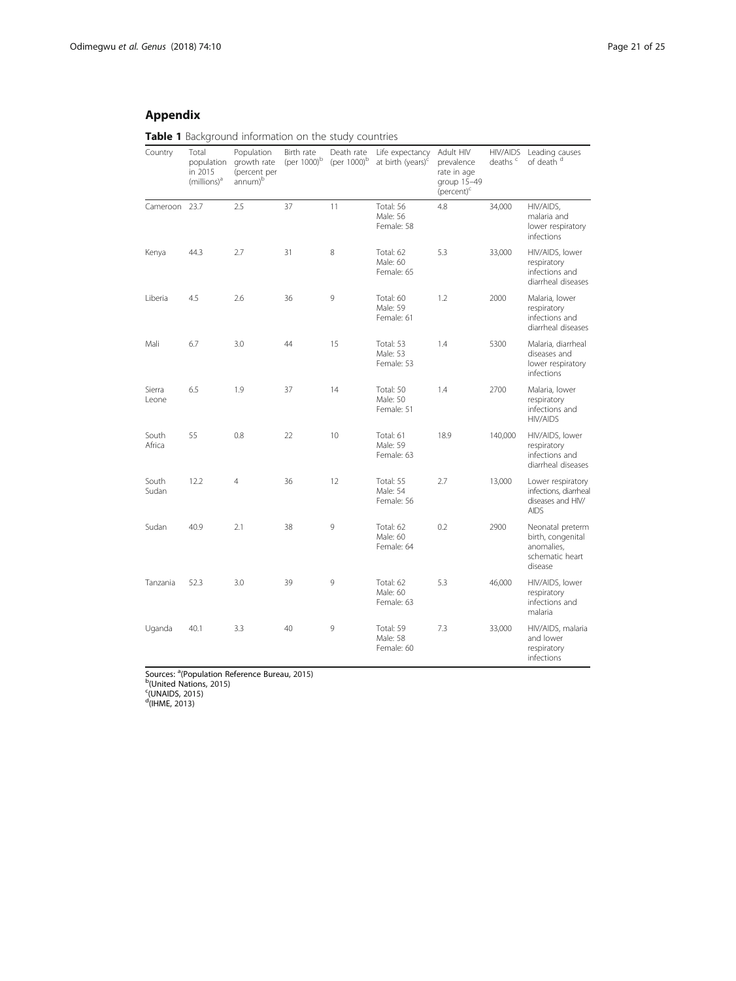#### <span id="page-20-0"></span>Appendix

Table 1 Background information on the study countries

| Country         | Total<br>population<br>in 2015<br>(millions) <sup>a</sup> | Population<br>growth rate<br>(percent per<br>annum) <sup>b</sup> | Birth rate<br>(per 1000) <sup>b</sup> | Death rate<br>(per 1000) <sup>b</sup> | Life expectancy<br>at birth (years) <sup>c</sup> | Adult HIV<br>prevalence<br>rate in age<br>group 15-49<br>(percent) <sup>c</sup> | <b>HIV/AIDS</b><br>deaths $\degree$ | Leading causes<br>of death d                                                      |
|-----------------|-----------------------------------------------------------|------------------------------------------------------------------|---------------------------------------|---------------------------------------|--------------------------------------------------|---------------------------------------------------------------------------------|-------------------------------------|-----------------------------------------------------------------------------------|
| Cameroon 23.7   |                                                           | 2.5                                                              | 37                                    | 11                                    | Total: 56<br>Male: 56<br>Female: 58              | 4.8                                                                             | 34,000                              | HIV/AIDS,<br>malaria and<br>lower respiratory<br>infections                       |
| Kenya           | 44.3                                                      | 2.7                                                              | 31                                    | 8                                     | Total: 62<br>Male: 60<br>Female: 65              | 5.3                                                                             | 33,000                              | HIV/AIDS, lower<br>respiratory<br>infections and<br>diarrheal diseases            |
| Liberia         | 4.5                                                       | 2.6                                                              | 36                                    | 9                                     | Total: 60<br>Male: 59<br>Female: 61              | 1.2                                                                             | 2000                                | Malaria, lower<br>respiratory<br>infections and<br>diarrheal diseases             |
| Mali            | 6.7                                                       | 3.0                                                              | 44                                    | 15                                    | Total: 53<br>Male: 53<br>Female: 53              | 1.4                                                                             | 5300                                | Malaria, diarrheal<br>diseases and<br>lower respiratory<br><i>infections</i>      |
| Sierra<br>Leone | 6.5                                                       | 1.9                                                              | 37                                    | 14                                    | Total: 50<br>Male: 50<br>Female: 51              | 1.4                                                                             | 2700                                | Malaria, lower<br>respiratory<br>infections and<br><b>HIV/AIDS</b>                |
| South<br>Africa | 55                                                        | 0.8                                                              | 22                                    | 10                                    | Total: 61<br>Male: 59<br>Female: 63              | 18.9                                                                            | 140,000                             | HIV/AIDS, lower<br>respiratory<br>infections and<br>diarrheal diseases            |
| South<br>Sudan  | 12.2                                                      | $\overline{4}$                                                   | 36                                    | 12                                    | Total: 55<br>Male: 54<br>Female: 56              | 2.7                                                                             | 13,000                              | Lower respiratory<br>infections, diarrheal<br>diseases and HIV/<br><b>AIDS</b>    |
| Sudan           | 40.9                                                      | 2.1                                                              | 38                                    | 9                                     | Total: 62<br>Male: 60<br>Female: 64              | 0.2                                                                             | 2900                                | Neonatal preterm<br>birth, congenital<br>anomalies.<br>schematic heart<br>disease |
| Tanzania        | 52.3                                                      | 3.0                                                              | 39                                    | 9                                     | Total: 62<br>Male: 60<br>Female: 63              | 5.3                                                                             | 46,000                              | HIV/AIDS, lower<br>respiratory<br>infections and<br>malaria                       |
| Uganda          | 40.1                                                      | 3.3                                                              | 40                                    | 9                                     | Total: 59<br>Male: 58<br>Female: 60              | 7.3                                                                             | 33,000                              | HIV/AIDS, malaria<br>and lower<br>respiratory<br>infections                       |

Sources: <sup>a</sup>(Population Reference Bureau, [2015\)](#page-24-0)<br><sup>b</sup>(United Nations, [2015](#page-24-0))<br><sup>c</sup>(UNAIDS, 2015)<br><sup>d</sup>(IHME, [2013\)](#page-23-0)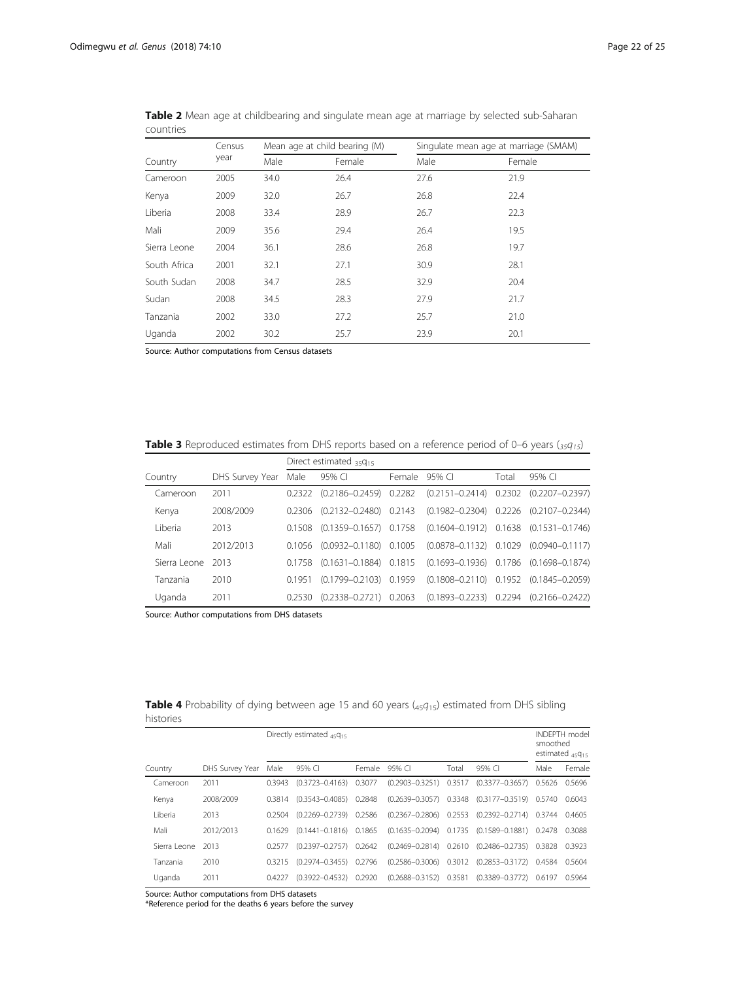|              | Census |      | Mean age at child bearing (M) | Singulate mean age at marriage (SMAM) |        |  |
|--------------|--------|------|-------------------------------|---------------------------------------|--------|--|
| Country      | year   | Male | Female                        | Male                                  | Female |  |
| Cameroon     | 2005   | 34.0 | 26.4                          | 27.6                                  | 21.9   |  |
| Kenya        | 2009   | 32.0 | 26.7                          | 26.8                                  | 22.4   |  |
| Liberia      | 2008   | 33.4 | 28.9                          | 26.7                                  | 22.3   |  |
| Mali         | 2009   | 35.6 | 29.4                          | 26.4                                  | 19.5   |  |
| Sierra Leone | 2004   | 36.1 | 28.6                          | 26.8                                  | 19.7   |  |
| South Africa | 2001   | 32.1 | 27.1                          | 30.9                                  | 28.1   |  |
| South Sudan  | 2008   | 34.7 | 28.5                          | 32.9                                  | 20.4   |  |
| Sudan        | 2008   | 34.5 | 28.3                          | 27.9                                  | 21.7   |  |
| Tanzania     | 2002   | 33.0 | 27.2                          | 25.7                                  | 21.0   |  |
| Uganda       | 2002   | 30.2 | 25.7                          | 23.9                                  | 20.1   |  |

Table 2 Mean age at childbearing and singulate mean age at marriage by selected sub-Saharan countries

Source: Author computations from Census datasets

**Table 3** Reproduced estimates from DHS reports based on a reference period of 0–6 years ( $_{35}q_{15}$ )

|              |                 | Direct estimated $35915$ |                            |        |                                                                               |       |                                                  |  |  |
|--------------|-----------------|--------------------------|----------------------------|--------|-------------------------------------------------------------------------------|-------|--------------------------------------------------|--|--|
| Country      | DHS Survey Year | Male                     | 95% CI                     | Female | 95% CI                                                                        | Total | 95% CI                                           |  |  |
| Cameroon     | 2011            | 0.2322                   | $(0.2186 - 0.2459)$ 0.2282 |        |                                                                               |       | $(0.2151 - 0.2414)$ 0.2302 $(0.2207 - 0.2397)$   |  |  |
| Kenya        | 2008/2009       | 0.2306                   |                            |        | $(0.2132 - 0.2480)$ $0.2143$ $(0.1982 - 0.2304)$ $0.2226$ $(0.2107 - 0.2344)$ |       |                                                  |  |  |
| I iberia     | 2013            | 0.1508                   | $(0.1359 - 0.1657)$ 0.1758 |        |                                                                               |       | $(0.1604 - 0.1912)$ $0.1638$ $(0.1531 - 0.1746)$ |  |  |
| Mali         | 2012/2013       | 0.1056                   | $(0.0932 - 0.1180)$ 0.1005 |        |                                                                               |       | $(0.0878 - 0.1132)$ $0.1029$ $(0.0940 - 0.1117)$ |  |  |
| Sierra Leone | -2013           | 0.1758                   | $(0.1631 - 0.1884)$ 0.1815 |        |                                                                               |       | $(0.1693 - 0.1936)$ $0.1786$ $(0.1698 - 0.1874)$ |  |  |
| Tanzania     | 2010            | 0.1951                   | $(0.1799 - 0.2103)$ 0.1959 |        |                                                                               |       | $(0.1808 - 0.2110)$ 0.1952 $(0.1845 - 0.2059)$   |  |  |
| Uganda       | 2011            | 0.2530                   | $(0.2338 - 0.2721)$ 0.2063 |        |                                                                               |       | $(0.1893 - 0.2233)$ $0.2294$ $(0.2166 - 0.2422)$ |  |  |

Source: Author computations from DHS datasets

**Table 4** Probability of dying between age 15 and 60 years ( $45q_{15}$ ) estimated from DHS sibling histories

|              |                 |        | Directly estimated $45Q_{15}$ |        |                            |       |                                                           | smoothed | <b>INDEPTH</b> model<br>estimated $45Q_{15}$ |
|--------------|-----------------|--------|-------------------------------|--------|----------------------------|-------|-----------------------------------------------------------|----------|----------------------------------------------|
| Country      | DHS Survey Year | Male   | 95% CI                        | Female | 95% CI                     | Total | 95% CI                                                    | Male     | Female                                       |
| Cameroon     | 2011            | 0.3943 | $(0.3723 - 0.4163)$           | 0.3077 | $(0.2903 - 0.3251)$ 0.3517 |       | $(0.3377 - 0.3657)$                                       | 0.5626   | 0.5696                                       |
| Kenya        | 2008/2009       | 0.3814 | $(0.3543 - 0.4085)$           | 0.2848 | $(0.2639 - 0.3057)$ 0.3348 |       | $(0.3177 - 0.3519)$                                       | 0.5740   | 0.6043                                       |
| I iberia     | 2013            | 0.2504 | $(0.2269 - 0.2739)$           | 0.2586 | $(0.2367 - 0.2806)$ 0.2553 |       | $(0.2392 - 0.2714)$                                       | 0.3744   | 0.4605                                       |
| Mali         | 2012/2013       | 0.1629 | $(0.1441 - 0.1816)$ 0.1865    |        |                            |       | $(0.1635 - 0.2094)$ $0.1735$ $(0.1589 - 0.1881)$ $0.2478$ |          | 0.3088                                       |
| Sierra Leone | 2013            | 0.2577 | $(0.2397 - 0.2757)$           | 0.2642 | $(0.2469 - 0.2814)$ 0.2610 |       | $(0.2486 - 0.2735)$                                       | 0.3828   | 0.3923                                       |
| Tanzania     | 2010            | 0.3215 | $(0.2974 - 0.3455)$           | 0.2796 |                            |       | $(0.2586 - 0.3006)$ $0.3012$ $(0.2853 - 0.3172)$          | 0.4584   | 0.5604                                       |
| Uganda       | 2011            | 0.4227 | $(0.3922 - 0.4532)$           | 0.2920 | $(0.2688 - 0.3152)$ 0.3581 |       | $(0.3389 - 0.3772)$                                       | 0.6197   | 0.5964                                       |

Source: Author computations from DHS datasets

\*Reference period for the deaths 6 years before the survey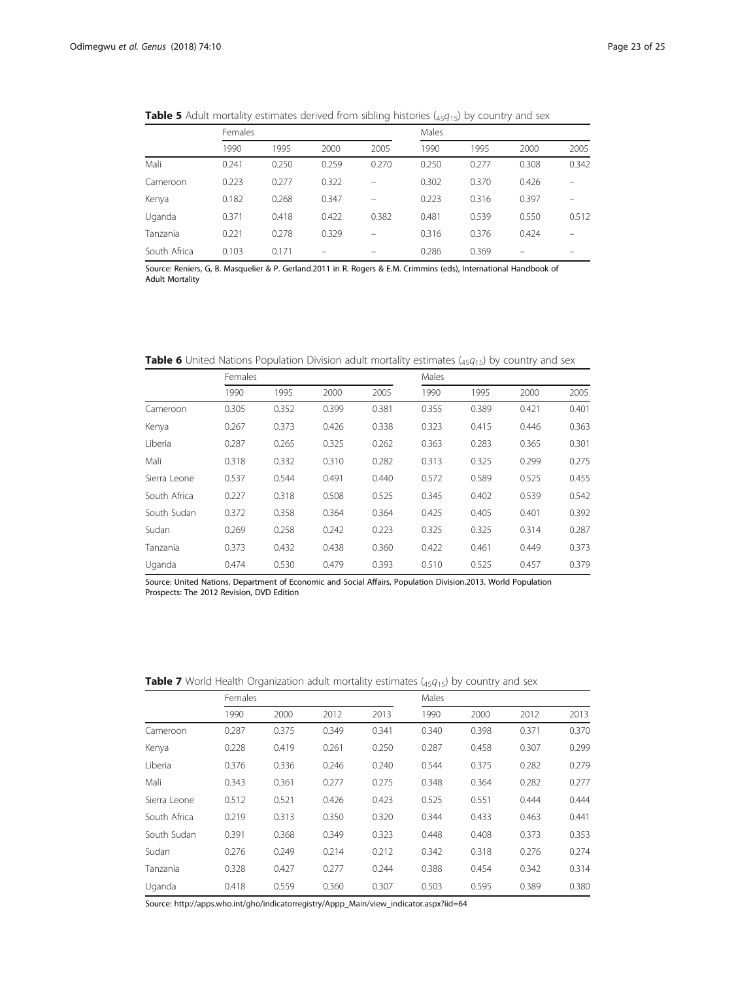|              | $\overline{\phantom{a}}$ |       |       | $\tilde{}$ | .<br>$\overline{\phantom{a}}$ |       |       |       |  |  |
|--------------|--------------------------|-------|-------|------------|-------------------------------|-------|-------|-------|--|--|
|              | Females                  |       |       |            | Males                         |       |       |       |  |  |
|              | 1990                     | 1995  | 2000  | 2005       | 1990                          | 1995  | 2000  | 2005  |  |  |
| Mali         | 0.241                    | 0.250 | 0.259 | 0.270      | 0.250                         | 0.277 | 0.308 | 0.342 |  |  |
| Cameroon     | 0.223                    | 0.277 | 0.322 | $\equiv$   | 0.302                         | 0.370 | 0.426 |       |  |  |
| Kenya        | 0.182                    | 0.268 | 0.347 |            | 0.223                         | 0.316 | 0.397 |       |  |  |
| Uganda       | 0.371                    | 0.418 | 0.422 | 0.382      | 0.481                         | 0.539 | 0.550 | 0.512 |  |  |
| Tanzania     | 0.221                    | 0.278 | 0.329 |            | 0.316                         | 0.376 | 0.424 |       |  |  |
| South Africa | 0.103                    | 0.171 |       |            | 0.286                         | 0.369 |       |       |  |  |
|              |                          |       |       |            |                               |       |       |       |  |  |

**Table 5** Adult mortality estimates derived from sibling histories ( $45q_{15}$ ) by country and sex

Source: Reniers, G, B. Masquelier & P. Gerland.2011 in R. Rogers & E.M. Crimmins (eds), International Handbook of Adult Mortality

**Table 6** United Nations Population Division adult mortality estimates  $(45q_{15})$  by country and sex

|              | Females |       |       |       | Males |       |       |       |
|--------------|---------|-------|-------|-------|-------|-------|-------|-------|
|              | 1990    | 1995  | 2000  | 2005  | 1990  | 1995  | 2000  | 2005  |
| Cameroon     | 0.305   | 0.352 | 0.399 | 0.381 | 0.355 | 0.389 | 0.421 | 0.401 |
| Kenya        | 0.267   | 0.373 | 0.426 | 0.338 | 0.323 | 0.415 | 0.446 | 0.363 |
| Liberia      | 0.287   | 0.265 | 0.325 | 0.262 | 0.363 | 0.283 | 0.365 | 0.301 |
| Mali         | 0.318   | 0.332 | 0.310 | 0.282 | 0.313 | 0.325 | 0.299 | 0.275 |
| Sierra Leone | 0.537   | 0.544 | 0.491 | 0.440 | 0.572 | 0.589 | 0.525 | 0.455 |
| South Africa | 0.227   | 0.318 | 0.508 | 0.525 | 0.345 | 0.402 | 0.539 | 0.542 |
| South Sudan  | 0.372   | 0.358 | 0.364 | 0.364 | 0.425 | 0.405 | 0.401 | 0.392 |
| Sudan        | 0.269   | 0.258 | 0.242 | 0.223 | 0.325 | 0.325 | 0.314 | 0.287 |
| Tanzania     | 0.373   | 0.432 | 0.438 | 0.360 | 0.422 | 0.461 | 0.449 | 0.373 |
| Uganda       | 0.474   | 0.530 | 0.479 | 0.393 | 0.510 | 0.525 | 0.457 | 0.379 |

Source: United Nations, Department of Economic and Social Affairs, Population Division.2013. World Population Prospects: The 2012 Revision, DVD Edition

**Table 7** World Health Organization adult mortality estimates  $(45q_{15})$  by country and sex

|              | Females |       |       |       | Males |       |       |       |
|--------------|---------|-------|-------|-------|-------|-------|-------|-------|
|              | 1990    | 2000  | 2012  | 2013  | 1990  | 2000  | 2012  | 2013  |
| Cameroon     | 0.287   | 0.375 | 0.349 | 0.341 | 0.340 | 0.398 | 0.371 | 0.370 |
| Kenya        | 0.228   | 0.419 | 0.261 | 0.250 | 0.287 | 0.458 | 0.307 | 0.299 |
| Liberia      | 0.376   | 0.336 | 0.246 | 0.240 | 0.544 | 0.375 | 0.282 | 0.279 |
| Mali         | 0.343   | 0.361 | 0.277 | 0.275 | 0.348 | 0.364 | 0.282 | 0.277 |
| Sierra Leone | 0.512   | 0.521 | 0.426 | 0.423 | 0.525 | 0.551 | 0.444 | 0.444 |
| South Africa | 0.219   | 0.313 | 0.350 | 0.320 | 0.344 | 0.433 | 0.463 | 0.441 |
| South Sudan  | 0.391   | 0.368 | 0.349 | 0.323 | 0.448 | 0.408 | 0.373 | 0.353 |
| Sudan        | 0.276   | 0.249 | 0.214 | 0.212 | 0.342 | 0.318 | 0.276 | 0.274 |
| Tanzania     | 0.328   | 0.427 | 0.277 | 0.244 | 0.388 | 0.454 | 0.342 | 0.314 |
| Uganda       | 0.418   | 0.559 | 0.360 | 0.307 | 0.503 | 0.595 | 0.389 | 0.380 |

Source: [http://apps.who.int/gho/indicatorregistry/Appp\\_Main/view\\_indicator.aspx?iid=64](http://apps.who.int/gho/indicatorregistry/Appp_Main/view_indicator.aspx?iid=64)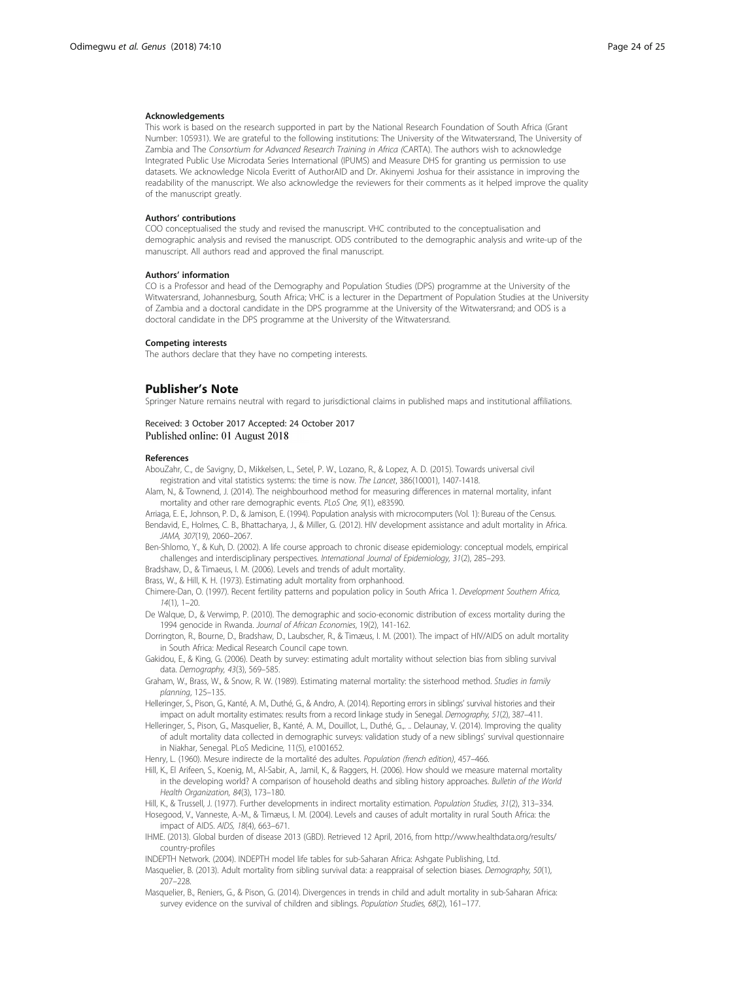#### <span id="page-23-0"></span>Acknowledgements

This work is based on the research supported in part by the National Research Foundation of South Africa (Grant Number: 105931). We are grateful to the following institutions: The University of the Witwatersrand, The University of Zambia and The Consortium for Advanced Research Training in Africa (CARTA). The authors wish to acknowledge Integrated Public Use Microdata Series International (IPUMS) and Measure DHS for granting us permission to use datasets. We acknowledge Nicola Everitt of AuthorAID and Dr. Akinyemi Joshua for their assistance in improving the readability of the manuscript. We also acknowledge the reviewers for their comments as it helped improve the quality of the manuscript greatly.

#### Authors' contributions

COO conceptualised the study and revised the manuscript. VHC contributed to the conceptualisation and demographic analysis and revised the manuscript. ODS contributed to the demographic analysis and write-up of the manuscript. All authors read and approved the final manuscript.

#### Authors' information

CO is a Professor and head of the Demography and Population Studies (DPS) programme at the University of the Witwatersrand, Johannesburg, South Africa; VHC is a lecturer in the Department of Population Studies at the University of Zambia and a doctoral candidate in the DPS programme at the University of the Witwatersrand; and ODS is a doctoral candidate in the DPS programme at the University of the Witwatersrand.

#### Competing interests

The authors declare that they have no competing interests.

#### Publisher's Note

Springer Nature remains neutral with regard to jurisdictional claims in published maps and institutional affiliations.

#### Received: 3 October 2017 Accepted: 24 October 2017 Published online: 01 August 2018

#### References

AbouZahr, C., de Savigny, D., Mikkelsen, L., Setel, P. W., Lozano, R., & Lopez, A. D. (2015). Towards universal civil registration and vital statistics systems: the time is now. The Lancet, 386(10001), 1407-1418.

Alam, N., & Townend, J. (2014). The neighbourhood method for measuring differences in maternal mortality, infant mortality and other rare demographic events. PLoS One, 9(1), e83590.

- Arriaga, E. E., Johnson, P. D., & Jamison, E. (1994). Population analysis with microcomputers (Vol. 1): Bureau of the Census.
- Bendavid, E., Holmes, C. B., Bhattacharya, J., & Miller, G. (2012). HIV development assistance and adult mortality in Africa. JAMA, 307(19), 2060–2067.
- Ben-Shlomo, Y., & Kuh, D. (2002). A life course approach to chronic disease epidemiology: conceptual models, empirical challenges and interdisciplinary perspectives. International Journal of Epidemiology, 31(2), 285–293.

Bradshaw, D., & Timaeus, I. M. (2006). Levels and trends of adult mortality.

Brass, W., & Hill, K. H. (1973). Estimating adult mortality from orphanhood.

Chimere-Dan, O. (1997). Recent fertility patterns and population policy in South Africa 1. Development Southern Africa,  $14(1)$ ,  $1-20$ .

De Walque, D., & Verwimp, P. (2010). The demographic and socio-economic distribution of excess mortality during the 1994 genocide in Rwanda. Journal of African Economies, 19(2), 141-162.

Dorrington, R., Bourne, D., Bradshaw, D., Laubscher, R., & Timæus, I. M. (2001). The impact of HIV/AIDS on adult mortality in South Africa: Medical Research Council cape town.

- Gakidou, E., & King, G. (2006). Death by survey: estimating adult mortality without selection bias from sibling survival data. Demography, 43(3), 569–585.
- Graham, W., Brass, W., & Snow, R. W. (1989). Estimating maternal mortality: the sisterhood method. Studies in family planning, 125–135.
- Helleringer, S., Pison, G., Kanté, A. M., Duthé, G., & Andro, A. (2014). Reporting errors in siblings' survival histories and their impact on adult mortality estimates: results from a record linkage study in Senegal. Demography, 51(2), 387–411.
- Helleringer, S., Pison, G., Masquelier, B., Kanté, A. M., Douillot, L., Duthé, G.,. .. Delaunay, V. (2014). Improving the quality of adult mortality data collected in demographic surveys: validation study of a new siblings' survival questionnaire in Niakhar, Senegal. PLoS Medicine, 11(5), e1001652.
- Henry, L. (1960). Mesure indirecte de la mortalité des adultes. Population (french edition), 457–466.
- Hill, K., El Arifeen, S., Koenig, M., Al-Sabir, A., Jamil, K., & Raggers, H. (2006). How should we measure maternal mortality in the developing world? A comparison of household deaths and sibling history approaches. Bulletin of the World Health Organization, 84(3), 173–180.
- Hill, K., & Trussell, J. (1977). Further developments in indirect mortality estimation. Population Studies, 31(2), 313-334.
- Hosegood, V., Vanneste, A.-M., & Timæus, I. M. (2004). Levels and causes of adult mortality in rural South Africa: the impact of AIDS. AIDS, 18(4), 663–671.
- IHME. (2013). Global burden of disease 2013 (GBD). Retrieved 12 April, 2016, from [http://www.healthdata.org/results/](http://www.healthdata.org/results/country-profiles) [country-profiles](http://www.healthdata.org/results/country-profiles)
- INDEPTH Network. (2004). INDEPTH model life tables for sub-Saharan Africa: Ashgate Publishing, Ltd.
- Masquelier, B. (2013). Adult mortality from sibling survival data: a reappraisal of selection biases. Demography, 50(1), 207–228.
- Masquelier, B., Reniers, G., & Pison, G. (2014). Divergences in trends in child and adult mortality in sub-Saharan Africa: survey evidence on the survival of children and siblings. Population Studies, 68(2), 161–177.